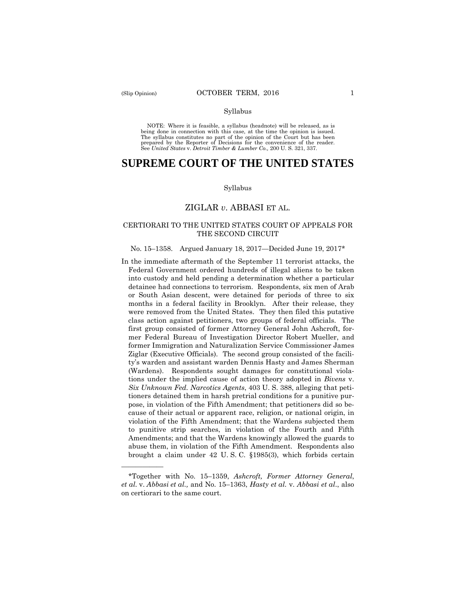——————

#### Syllabus

 NOTE: Where it is feasible, a syllabus (headnote) will be released, as is being done in connection with this case, at the time the opinion is issued. The syllabus constitutes no part of the opinion of the Court but has been<br>prepared by the Reporter of Decisions for the convenience of the reader.<br>See United States v. Detroit Timber & Lumber Co., 200 U.S. 321, 337.

# **SUPREME COURT OF THE UNITED STATES**

#### Syllabus

# ZIGLAR *v*. ABBASI ET AL.

# CERTIORARI TO THE UNITED STATES COURT OF APPEALS FOR THE SECOND CIRCUIT

#### No. 15–1358. Argued January 18, 2017—Decided June 19, 2017\*

In the immediate aftermath of the September 11 terrorist attacks, the Federal Government ordered hundreds of illegal aliens to be taken into custody and held pending a determination whether a particular detainee had connections to terrorism. Respondents, six men of Arab or South Asian descent, were detained for periods of three to six months in a federal facility in Brooklyn. After their release, they were removed from the United States. They then filed this putative class action against petitioners, two groups of federal officials. The first group consisted of former Attorney General John Ashcroft, former Federal Bureau of Investigation Director Robert Mueller, and former Immigration and Naturalization Service Commissioner James Ziglar (Executive Officials). The second group consisted of the facility's warden and assistant warden Dennis Hasty and James Sherman (Wardens). Respondents sought damages for constitutional violations under the implied cause of action theory adopted in *Bivens* v. *Six Unknown Fed. Narcotics Agents*, 403 U. S. 388, alleging that petitioners detained them in harsh pretrial conditions for a punitive purpose, in violation of the Fifth Amendment; that petitioners did so because of their actual or apparent race, religion, or national origin, in violation of the Fifth Amendment; that the Wardens subjected them to punitive strip searches, in violation of the Fourth and Fifth Amendments; and that the Wardens knowingly allowed the guards to abuse them, in violation of the Fifth Amendment. Respondents also brought a claim under 42 U. S. C. §1985(3), which forbids certain

 *et al.* v. *Abbasi et al.,* and No. 15–1363, *Hasty et al.* v. *Abbasi et al*., also \*Together with No. 15–1359, *Ashcroft, Former Attorney General*, on certiorari to the same court.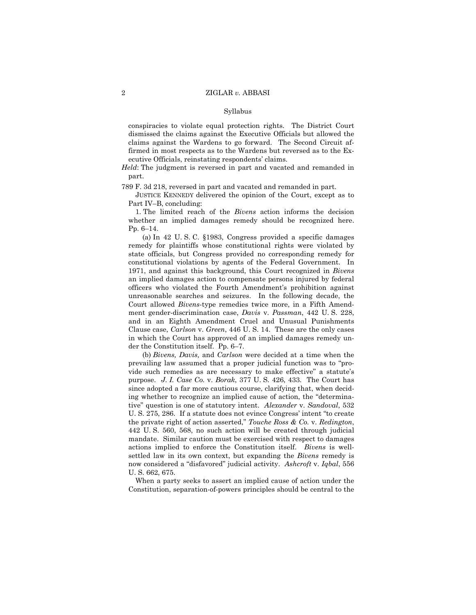ecutive Officials, reinstating respondents' claims. conspiracies to violate equal protection rights. The District Court dismissed the claims against the Executive Officials but allowed the claims against the Wardens to go forward. The Second Circuit affirmed in most respects as to the Wardens but reversed as to the Ex-

*Held*: The judgment is reversed in part and vacated and remanded in part.

789 F. 3d 218, reversed in part and vacated and remanded in part.

JUSTICE KENNEDY delivered the opinion of the Court, except as to Part IV–B, concluding:

1. The limited reach of the *Bivens* action informs the decision whether an implied damages remedy should be recognized here. Pp. 6–14.

(a) In 42 U. S. C. §1983, Congress provided a specific damages remedy for plaintiffs whose constitutional rights were violated by state officials, but Congress provided no corresponding remedy for constitutional violations by agents of the Federal Government. In 1971, and against this background, this Court recognized in *Bivens*  an implied damages action to compensate persons injured by federal officers who violated the Fourth Amendment's prohibition against unreasonable searches and seizures. In the following decade, the Court allowed *Bivens*-type remedies twice more, in a Fifth Amendment gender-discrimination case, *Davis* v. *Passman*, 442 U. S. 228, and in an Eighth Amendment Cruel and Unusual Punishments Clause case, *Carlson* v. *Green*, 446 U. S. 14. These are the only cases in which the Court has approved of an implied damages remedy under the Constitution itself. Pp. 6–7.

 vide such remedies as are necessary to make effective" a statute's (b) *Bivens, Davis,* and *Carlson* were decided at a time when the prevailing law assumed that a proper judicial function was to "propurpose. *J. I. Case Co.* v. *Borak*, 377 U. S. 426, 433. The Court has since adopted a far more cautious course, clarifying that, when deciding whether to recognize an implied cause of action, the "determinative" question is one of statutory intent. *Alexander* v. *Sandoval*, 532 U. S. 275, 286. If a statute does not evince Congress' intent "to create the private right of action asserted," *Touche Ross & Co.* v. *Redington*, 442 U. S. 560, 568, no such action will be created through judicial mandate. Similar caution must be exercised with respect to damages actions implied to enforce the Constitution itself. *Bivens* is wellsettled law in its own context, but expanding the *Bivens* remedy is now considered a "disfavored" judicial activity. *Ashcroft* v. *Iqbal*, 556 U. S. 662, 675.

When a party seeks to assert an implied cause of action under the Constitution, separation-of-powers principles should be central to the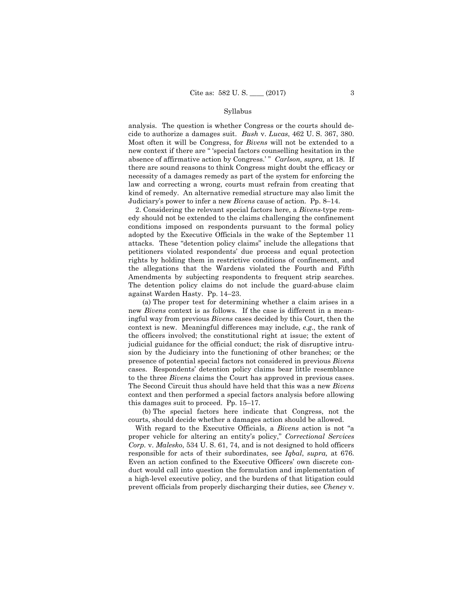analysis. The question is whether Congress or the courts should decide to authorize a damages suit. *Bush* v. *Lucas*, 462 U. S. 367, 380. Most often it will be Congress, for *Bivens* will not be extended to a new context if there are " 'special factors counselling hesitation in the absence of affirmative action by Congress.'" *Carlson, supra,* at 18. If there are sound reasons to think Congress might doubt the efficacy or necessity of a damages remedy as part of the system for enforcing the law and correcting a wrong, courts must refrain from creating that kind of remedy. An alternative remedial structure may also limit the Judiciary's power to infer a new *Bivens* cause of action. Pp. 8–14.

 Amendments by subjecting respondents to frequent strip searches. 2. Considering the relevant special factors here, a *Bivens*-type remedy should not be extended to the claims challenging the confinement conditions imposed on respondents pursuant to the formal policy adopted by the Executive Officials in the wake of the September 11 attacks. These "detention policy claims" include the allegations that petitioners violated respondents' due process and equal protection rights by holding them in restrictive conditions of confinement, and the allegations that the Wardens violated the Fourth and Fifth The detention policy claims do not include the guard-abuse claim against Warden Hasty. Pp. 14–23.

 context is new. Meaningful differences may include, *e.g.,* the rank of (a) The proper test for determining whether a claim arises in a new *Bivens* context is as follows. If the case is different in a meaningful way from previous *Bivens* cases decided by this Court, then the the officers involved; the constitutional right at issue; the extent of judicial guidance for the official conduct; the risk of disruptive intrusion by the Judiciary into the functioning of other branches; or the presence of potential special factors not considered in previous *Bivens*  cases. Respondents' detention policy claims bear little resemblance to the three *Bivens* claims the Court has approved in previous cases. The Second Circuit thus should have held that this was a new *Bivens*  context and then performed a special factors analysis before allowing this damages suit to proceed. Pp. 15–17.

(b) The special factors here indicate that Congress, not the courts, should decide whether a damages action should be allowed.

With regard to the Executive Officials, a *Bivens* action is not "a proper vehicle for altering an entity's policy," *Correctional Services Corp.* v. *Malesko*, 534 U. S. 61, 74, and is not designed to hold officers responsible for acts of their subordinates, see *Iqbal*, *supra,* at 676. Even an action confined to the Executive Officers' own discrete conduct would call into question the formulation and implementation of a high-level executive policy, and the burdens of that litigation could prevent officials from properly discharging their duties, see *Cheney* v.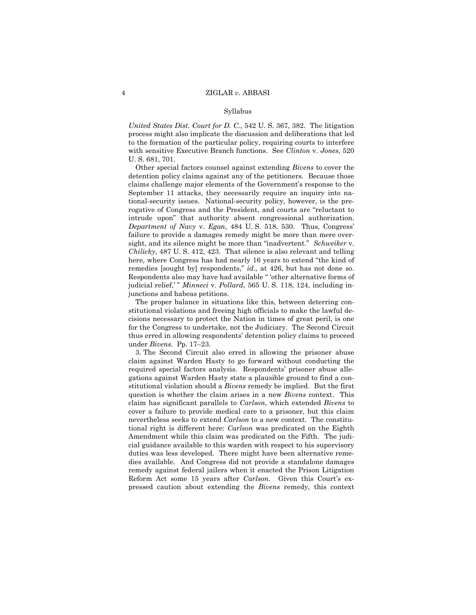*United States Dist. Court for D. C.*, 542 U. S. 367, 382. The litigation process might also implicate the discussion and deliberations that led to the formation of the particular policy, requiring courts to interfere with sensitive Executive Branch functions. See *Clinton* v. *Jones*, 520 U. S. 681, 701.

 failure to provide a damages remedy might be more than mere overremedies [sought by] respondents," id., at 426, but has not done so. Other special factors counsel against extending *Bivens* to cover the detention policy claims against any of the petitioners. Because those claims challenge major elements of the Government's response to the September 11 attacks, they necessarily require an inquiry into national-security issues. National-security policy, however, is the prerogative of Congress and the President, and courts are "reluctant to intrude upon" that authority absent congressional authorization. *Department of Navy* v. *Egan*, 484 U. S. 518, 530. Thus, Congress' sight, and its silence might be more than "inadvertent." *Schweiker* v. *Chilicky*, 487 U. S. 412, 423. That silence is also relevant and telling here, where Congress has had nearly 16 years to extend "the kind of Respondents also may have had available " 'other alternative forms of judicial relief," Minneci v. Pollard, 565 U.S. 118, 124, including injunctions and habeas petitions.

The proper balance in situations like this, between deterring constitutional violations and freeing high officials to make the lawful decisions necessary to protect the Nation in times of great peril, is one for the Congress to undertake, not the Judiciary. The Second Circuit thus erred in allowing respondents' detention policy claims to proceed under *Bivens*. Pp. 17–23.

3. The Second Circuit also erred in allowing the prisoner abuse claim against Warden Hasty to go forward without conducting the required special factors analysis. Respondents' prisoner abuse allegations against Warden Hasty state a plausible ground to find a constitutional violation should a *Bivens* remedy be implied. But the first question is whether the claim arises in a new *Bivens* context. This claim has significant parallels to *Carlson*, which extended *Bivens* to cover a failure to provide medical care to a prisoner, but this claim nevertheless seeks to extend *Carlson* to a new context. The constitutional right is different here: *Carlson* was predicated on the Eighth Amendment while this claim was predicated on the Fifth. The judicial guidance available to this warden with respect to his supervisory duties was less developed. There might have been alternative remedies available. And Congress did not provide a standalone damages remedy against federal jailers when it enacted the Prison Litigation Reform Act some 15 years after *Carlson.* Given this Court's expressed caution about extending the *Bivens* remedy, this context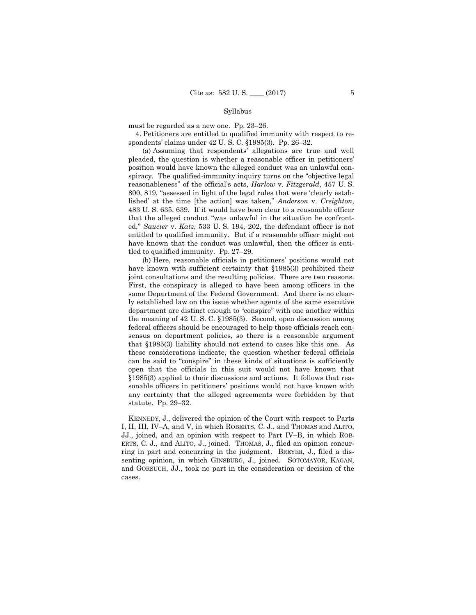must be regarded as a new one. Pp. 23–26.

4. Petitioners are entitled to qualified immunity with respect to respondents' claims under 42 U. S. C. §1985(3). Pp. 26–32.

(a) Assuming that respondents' allegations are true and well pleaded, the question is whether a reasonable officer in petitioners' position would have known the alleged conduct was an unlawful conspiracy. The qualified-immunity inquiry turns on the "objective legal reasonableness" of the official's acts, *Harlow* v. *Fitzgerald*, 457 U. S. 800, 819, "assessed in light of the legal rules that were 'clearly established' at the time [the action] was taken," *Anderson* v. *Creighton*, 483 U. S. 635, 639. If it would have been clear to a reasonable officer that the alleged conduct "was unlawful in the situation he confronted," *Saucier* v. *Katz*, 533 U. S. 194, 202, the defendant officer is not entitled to qualified immunity. But if a reasonable officer might not have known that the conduct was unlawful, then the officer is entitled to qualified immunity. Pp. 27–29.

(b) Here, reasonable officials in petitioners' positions would not have known with sufficient certainty that §1985(3) prohibited their joint consultations and the resulting policies. There are two reasons. First, the conspiracy is alleged to have been among officers in the same Department of the Federal Government. And there is no clearly established law on the issue whether agents of the same executive department are distinct enough to "conspire" with one another within the meaning of 42 U. S. C. §1985(3). Second, open discussion among federal officers should be encouraged to help those officials reach consensus on department policies, so there is a reasonable argument that §1985(3) liability should not extend to cases like this one. As these considerations indicate, the question whether federal officials can be said to "conspire" in these kinds of situations is sufficiently open that the officials in this suit would not have known that §1985(3) applied to their discussions and actions. It follows that reasonable officers in petitioners' positions would not have known with any certainty that the alleged agreements were forbidden by that statute. Pp. 29–32.

 KENNEDY, J., delivered the opinion of the Court with respect to Parts I, II, III, IV–A, and V, in which ROBERTS, C. J., and THOMAS and ALITO, JJ., joined, and an opinion with respect to Part IV–B, in which ROB-ERTS, C. J., and ALITO, J., joined. THOMAS, J., filed an opinion concurring in part and concurring in the judgment. BREYER, J., filed a dissenting opinion, in which GINSBURG, J., joined. SOTOMAYOR, KAGAN, and GORSUCH, JJ., took no part in the consideration or decision of the cases.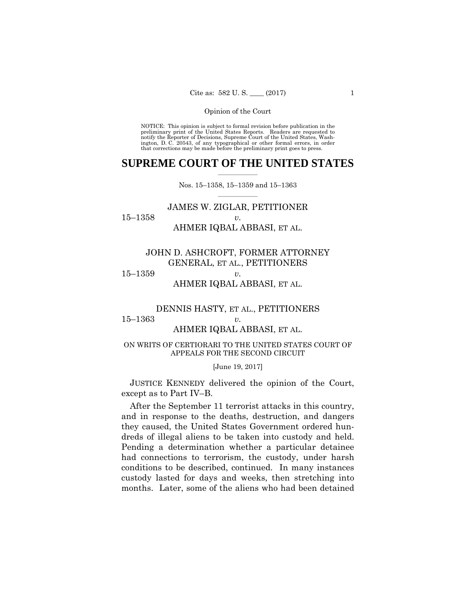preliminary print of the United States Reports. Readers are requested to notify the Reporter of Decisions, Supreme Court of the United States, Wash- ington, D. C. 20543, of any typographical or other formal errors, in order that corrections may be made before the preliminary print goes to press. NOTICE: This opinion is subject to formal revision before publication in the

# $\frac{1}{2}$  ,  $\frac{1}{2}$  ,  $\frac{1}{2}$  ,  $\frac{1}{2}$  ,  $\frac{1}{2}$  ,  $\frac{1}{2}$  ,  $\frac{1}{2}$ **SUPREME COURT OF THE UNITED STATES**

 $\frac{1}{2}$  ,  $\frac{1}{2}$  ,  $\frac{1}{2}$  ,  $\frac{1}{2}$  ,  $\frac{1}{2}$  ,  $\frac{1}{2}$ Nos. 15–1358, 15–1359 and 15–1363

# JAMES W. ZIGLAR, PETITIONER 15–1358 *v.*  AHMER IQBAL ABBASI, ET AL.

# JOHN D. ASHCROFT, FORMER ATTORNEY GENERAL, ET AL., PETITIONERS

15–1359 *v.*  AHMER IQBAL ABBASI, ET AL.

# DENNIS HASTY, ET AL., PETITIONERS 15–1363 *v.*  AHMER IQBAL ABBASI, ET AL.

# ON WRITS OF CERTIORARI TO THE UNITED STATES COURT OF APPEALS FOR THE SECOND CIRCUIT

## [June 19, 2017]

JUSTICE KENNEDY delivered the opinion of the Court, except as to Part IV–B.

After the September 11 terrorist attacks in this country, and in response to the deaths, destruction, and dangers they caused, the United States Government ordered hundreds of illegal aliens to be taken into custody and held. Pending a determination whether a particular detainee had connections to terrorism, the custody, under harsh conditions to be described, continued. In many instances custody lasted for days and weeks, then stretching into months. Later, some of the aliens who had been detained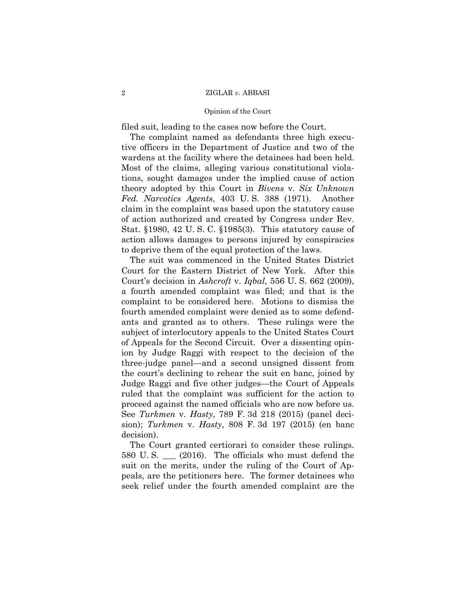#### Opinion of the Court

filed suit, leading to the cases now before the Court.

The complaint named as defendants three high executive officers in the Department of Justice and two of the wardens at the facility where the detainees had been held. Most of the claims, alleging various constitutional violations, sought damages under the implied cause of action theory adopted by this Court in *Bivens* v. *Six Unknown Fed. Narcotics Agents*, 403 U. S. 388 (1971). Another claim in the complaint was based upon the statutory cause of action authorized and created by Congress under Rev. Stat. §1980, 42 U. S. C. §1985(3). This statutory cause of action allows damages to persons injured by conspiracies to deprive them of the equal protection of the laws.

The suit was commenced in the United States District Court for the Eastern District of New York. After this Court's decision in *Ashcroft* v. *Iqbal*, 556 U. S. 662 (2009), a fourth amended complaint was filed; and that is the complaint to be considered here. Motions to dismiss the fourth amended complaint were denied as to some defendants and granted as to others. These rulings were the subject of interlocutory appeals to the United States Court of Appeals for the Second Circuit. Over a dissenting opinion by Judge Raggi with respect to the decision of the three-judge panel—and a second unsigned dissent from the court's declining to rehear the suit en banc, joined by Judge Raggi and five other judges—the Court of Appeals ruled that the complaint was sufficient for the action to proceed against the named officials who are now before us. See *Turkmen* v. *Hasty*, 789 F. 3d 218 (2015) (panel decision); *Turkmen* v. *Hasty*, 808 F. 3d 197 (2015) (en banc decision).

The Court granted certiorari to consider these rulings.  $580$  U.S.  $\_\_$  (2016). The officials who must defend the suit on the merits, under the ruling of the Court of Appeals, are the petitioners here. The former detainees who seek relief under the fourth amended complaint are the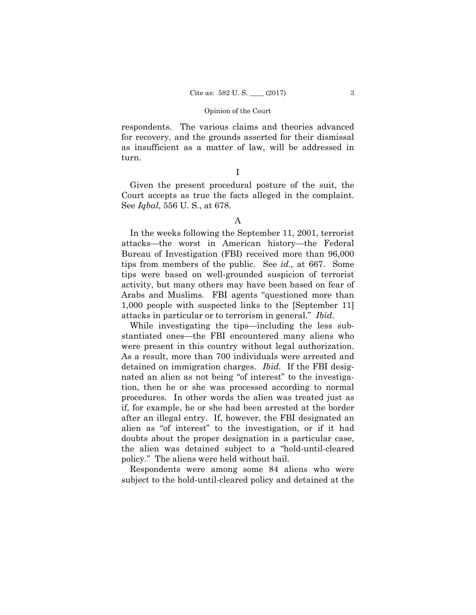respondents. The various claims and theories advanced for recovery, and the grounds asserted for their dismissal as insufficient as a matter of law, will be addressed in turn.

I

Given the present procedural posture of the suit, the Court accepts as true the facts alleged in the complaint. See *Iqbal*, 556 U. S., at 678.

In the weeks following the September 11, 2001, terrorist attacks—the worst in American history—the Federal Bureau of Investigation (FBI) received more than 96,000 tips from members of the public. See *id.,* at 667. Some tips were based on well-grounded suspicion of terrorist activity, but many others may have been based on fear of Arabs and Muslims. FBI agents "questioned more than 1,000 people with suspected links to the [September 11] attacks in particular or to terrorism in general." *Ibid*.

While investigating the tips—including the less substantiated ones—the FBI encountered many aliens who were present in this country without legal authorization. As a result, more than 700 individuals were arrested and detained on immigration charges. *Ibid.* If the FBI designated an alien as not being "of interest" to the investigation, then he or she was processed according to normal procedures. In other words the alien was treated just as if, for example, he or she had been arrested at the border after an illegal entry. If, however, the FBI designated an alien as "of interest" to the investigation, or if it had doubts about the proper designation in a particular case, the alien was detained subject to a "hold-until-cleared policy." The aliens were held without bail.

Respondents were among some 84 aliens who were subject to the hold-until-cleared policy and detained at the

A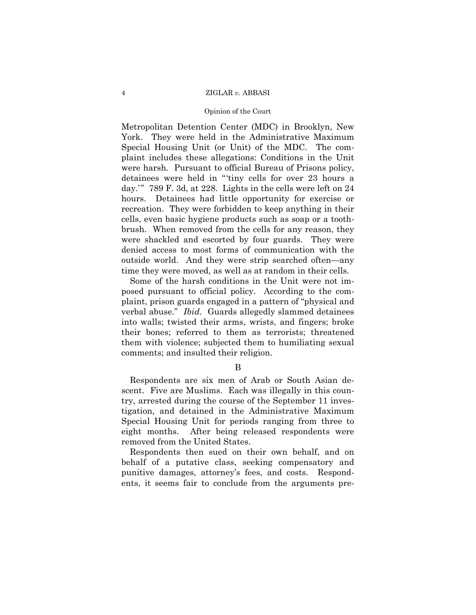#### Opinion of the Court

Metropolitan Detention Center (MDC) in Brooklyn, New York. They were held in the Administrative Maximum Special Housing Unit (or Unit) of the MDC. The complaint includes these allegations: Conditions in the Unit were harsh. Pursuant to official Bureau of Prisons policy, detainees were held in "'tiny cells for over 23 hours a day.'" 789 F. 3d, at 228. Lights in the cells were left on 24 hours. Detainees had little opportunity for exercise or recreation. They were forbidden to keep anything in their cells, even basic hygiene products such as soap or a toothbrush. When removed from the cells for any reason, they were shackled and escorted by four guards. They were denied access to most forms of communication with the outside world. And they were strip searched often—any time they were moved, as well as at random in their cells.

Some of the harsh conditions in the Unit were not imposed pursuant to official policy. According to the complaint, prison guards engaged in a pattern of "physical and verbal abuse." *Ibid.* Guards allegedly slammed detainees into walls; twisted their arms, wrists, and fingers; broke their bones; referred to them as terrorists; threatened them with violence; subjected them to humiliating sexual comments; and insulted their religion.

B

Respondents are six men of Arab or South Asian descent. Five are Muslims. Each was illegally in this country, arrested during the course of the September 11 investigation, and detained in the Administrative Maximum Special Housing Unit for periods ranging from three to eight months. After being released respondents were removed from the United States.

Respondents then sued on their own behalf, and on behalf of a putative class, seeking compensatory and punitive damages, attorney's fees, and costs. Respondents, it seems fair to conclude from the arguments pre-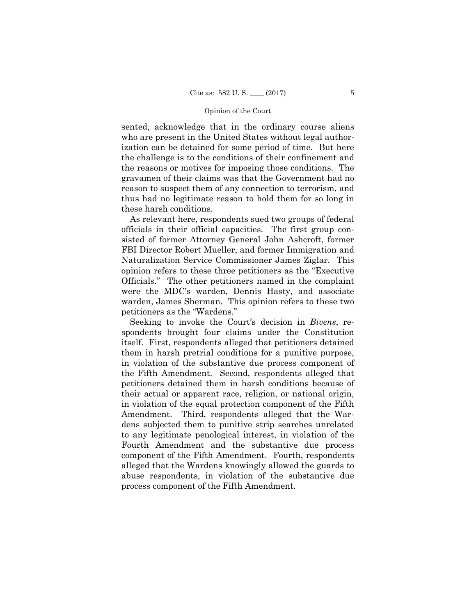sented, acknowledge that in the ordinary course aliens who are present in the United States without legal authorization can be detained for some period of time. But here the challenge is to the conditions of their confinement and the reasons or motives for imposing those conditions. The gravamen of their claims was that the Government had no reason to suspect them of any connection to terrorism, and thus had no legitimate reason to hold them for so long in these harsh conditions.

As relevant here, respondents sued two groups of federal officials in their official capacities. The first group consisted of former Attorney General John Ashcroft, former FBI Director Robert Mueller, and former Immigration and Naturalization Service Commissioner James Ziglar. This opinion refers to these three petitioners as the "Executive Officials." The other petitioners named in the complaint were the MDC's warden, Dennis Hasty, and associate warden, James Sherman. This opinion refers to these two petitioners as the "Wardens."

Seeking to invoke the Court's decision in *Bivens*, respondents brought four claims under the Constitution itself. First, respondents alleged that petitioners detained them in harsh pretrial conditions for a punitive purpose, in violation of the substantive due process component of the Fifth Amendment. Second, respondents alleged that petitioners detained them in harsh conditions because of their actual or apparent race, religion, or national origin, in violation of the equal protection component of the Fifth Amendment. Third, respondents alleged that the Wardens subjected them to punitive strip searches unrelated to any legitimate penological interest, in violation of the Fourth Amendment and the substantive due process component of the Fifth Amendment. Fourth, respondents alleged that the Wardens knowingly allowed the guards to abuse respondents, in violation of the substantive due process component of the Fifth Amendment.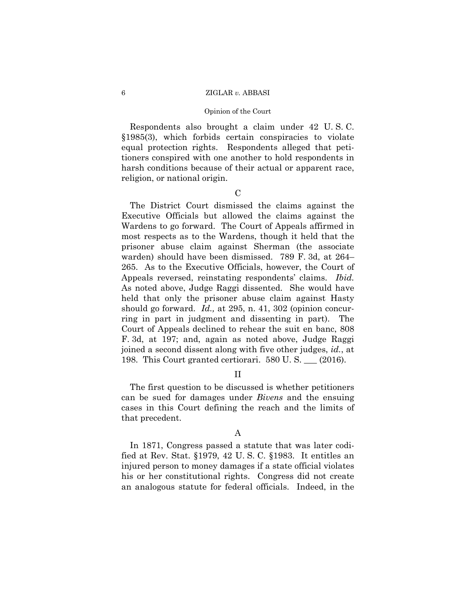#### Opinion of the Court

Respondents also brought a claim under 42 U. S. C. §1985(3), which forbids certain conspiracies to violate equal protection rights. Respondents alleged that petitioners conspired with one another to hold respondents in harsh conditions because of their actual or apparent race, religion, or national origin.

## C

 should go forward. *Id.,* at 295, n. 41, 302 (opinion concur-The District Court dismissed the claims against the Executive Officials but allowed the claims against the Wardens to go forward. The Court of Appeals affirmed in most respects as to the Wardens, though it held that the prisoner abuse claim against Sherman (the associate warden) should have been dismissed. 789 F. 3d, at 264– 265. As to the Executive Officials, however, the Court of Appeals reversed, reinstating respondents' claims. *Ibid.*  As noted above, Judge Raggi dissented. She would have held that only the prisoner abuse claim against Hasty ring in part in judgment and dissenting in part). The Court of Appeals declined to rehear the suit en banc, 808 F. 3d, at 197; and, again as noted above, Judge Raggi joined a second dissent along with five other judges, *id.*, at 198. This Court granted certiorari. 580 U. S. \_\_\_ (2016).

# II

The first question to be discussed is whether petitioners can be sued for damages under *Bivens* and the ensuing cases in this Court defining the reach and the limits of that precedent.

# A

In 1871, Congress passed a statute that was later codified at Rev. Stat. §1979, 42 U. S. C. §1983. It entitles an injured person to money damages if a state official violates his or her constitutional rights. Congress did not create an analogous statute for federal officials. Indeed, in the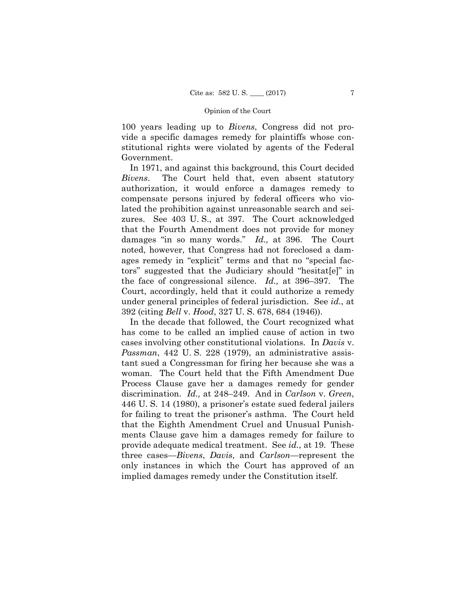100 years leading up to *Bivens*, Congress did not provide a specific damages remedy for plaintiffs whose constitutional rights were violated by agents of the Federal Government.

In 1971, and against this background, this Court decided *Bivens*. The Court held that, even absent statutory authorization, it would enforce a damages remedy to compensate persons injured by federal officers who violated the prohibition against unreasonable search and seizures. See 403 U. S., at 397. The Court acknowledged that the Fourth Amendment does not provide for money damages "in so many words." *Id.,* at 396. The Court noted, however, that Congress had not foreclosed a damages remedy in "explicit" terms and that no "special factors" suggested that the Judiciary should "hesitat[e]" in the face of congressional silence. *Id.,* at 396–397. The Court, accordingly, held that it could authorize a remedy under general principles of federal jurisdiction. See *id.*, at 392 (citing *Bell* v. *Hood*, 327 U. S. 678, 684 (1946)).

In the decade that followed, the Court recognized what has come to be called an implied cause of action in two cases involving other constitutional violations. In *Davis* v. *Passman*, 442 U. S. 228 (1979), an administrative assistant sued a Congressman for firing her because she was a woman. The Court held that the Fifth Amendment Due Process Clause gave her a damages remedy for gender discrimination. *Id.,* at 248–249. And in *Carlson* v. *Green*, 446 U. S. 14 (1980), a prisoner's estate sued federal jailers for failing to treat the prisoner's asthma. The Court held that the Eighth Amendment Cruel and Unusual Punishments Clause gave him a damages remedy for failure to provide adequate medical treatment. See *id.*, at 19. These three cases—*Bivens*, *Davis*, and *Carlson*—represent the only instances in which the Court has approved of an implied damages remedy under the Constitution itself.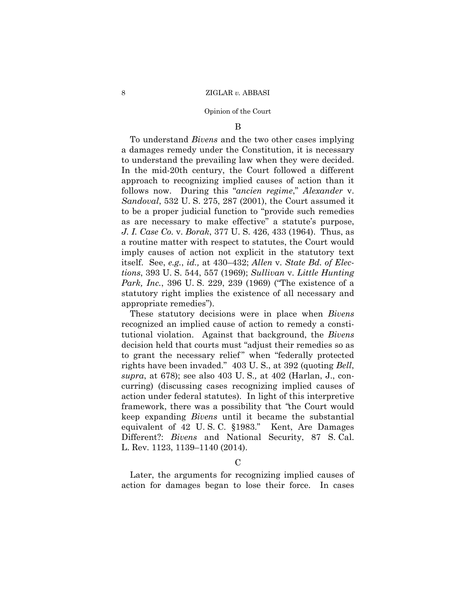# B

 To understand *Bivens* and the two other cases implying a damages remedy under the Constitution, it is necessary to understand the prevailing law when they were decided. In the mid-20th century, the Court followed a different approach to recognizing implied causes of action than it follows now. During this "*ancien regime*," *Alexander* v. *Sandoval*, 532 U. S. 275, 287 (2001), the Court assumed it to be a proper judicial function to "provide such remedies as are necessary to make effective" a statute's purpose, *J. I. Case Co.* v. *Borak*, 377 U. S. 426, 433 (1964). Thus, as a routine matter with respect to statutes, the Court would imply causes of action not explicit in the statutory text itself. See, *e.g.*, *id.,* at 430–432; *Allen* v. *State Bd. of Elections*, 393 U. S. 544, 557 (1969); *Sullivan* v. *Little Hunting Park, Inc.*, 396 U. S. 229, 239 (1969) ("The existence of a statutory right implies the existence of all necessary and appropriate remedies").

These statutory decisions were in place when *Bivens*  recognized an implied cause of action to remedy a constitutional violation. Against that background, the *Bivens*  decision held that courts must "adjust their remedies so as to grant the necessary relief" when "federally protected rights have been invaded." 403 U. S., at 392 (quoting *Bell*, *supra*, at 678); see also 403 U. S.*,* at 402 (Harlan, J., concurring) (discussing cases recognizing implied causes of action under federal statutes). In light of this interpretive framework, there was a possibility that *"*the Court would keep expanding *Bivens* until it became the substantial equivalent of 42 U. S. C. §1983." Kent, Are Damages Different?: *Bivens* and National Security, 87 S. Cal. L. Rev. 1123, 1139–1140 (2014).

 $\mathcal{C}$ 

Later, the arguments for recognizing implied causes of action for damages began to lose their force. In cases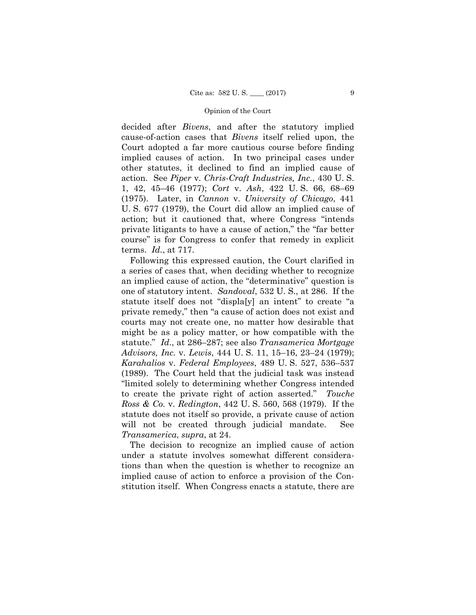decided after *Bivens*, and after the statutory implied cause-of-action cases that *Bivens* itself relied upon, the Court adopted a far more cautious course before finding implied causes of action. In two principal cases under other statutes, it declined to find an implied cause of action. See *Piper* v. *Chris-Craft Industries, Inc.*, 430 U. S. 1, 42, 45–46 (1977); *Cort* v. *Ash*, 422 U. S. 66, 68–69 (1975). Later, in *Cannon* v. *University of Chicago*, 441 U. S. 677 (1979), the Court did allow an implied cause of action; but it cautioned that, where Congress "intends private litigants to have a cause of action," the "far better course" is for Congress to confer that remedy in explicit terms. *Id.*, at 717.

Following this expressed caution, the Court clarified in a series of cases that, when deciding whether to recognize an implied cause of action, the "determinative" question is one of statutory intent. *Sandoval*, 532 U. S., at 286. If the statute itself does not "displa[y] an intent" to create "a private remedy," then "a cause of action does not exist and courts may not create one, no matter how desirable that might be as a policy matter, or how compatible with the statute." *Id*., at 286–287; see also *Transamerica Mortgage Advisors, Inc.* v. *Lewis*, 444 U. S. 11, 15–16, 23–24 (1979); *Karahalios* v. *Federal Employees*, 489 U. S. 527, 536–537 (1989). The Court held that the judicial task was instead "limited solely to determining whether Congress intended to create the private right of action asserted." *Touche Ross & Co.* v. *Redington*, 442 U. S. 560, 568 (1979). If the statute does not itself so provide, a private cause of action will not be created through judicial mandate. See *Transamerica*, *supra*, at 24.

The decision to recognize an implied cause of action under a statute involves somewhat different considerations than when the question is whether to recognize an implied cause of action to enforce a provision of the Constitution itself. When Congress enacts a statute, there are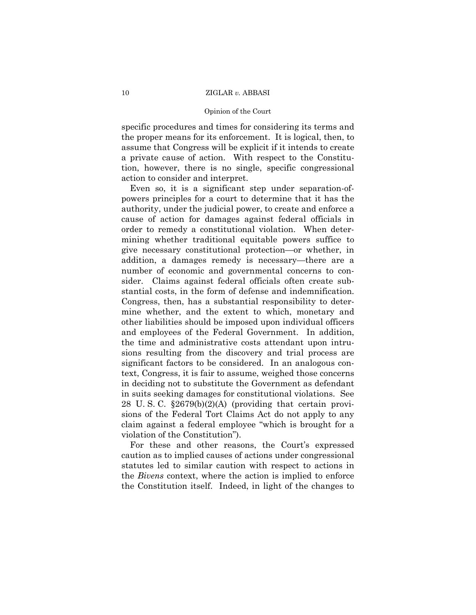#### Opinion of the Court

specific procedures and times for considering its terms and the proper means for its enforcement. It is logical, then, to assume that Congress will be explicit if it intends to create a private cause of action. With respect to the Constitution, however, there is no single, specific congressional action to consider and interpret.

Even so, it is a significant step under separation-ofpowers principles for a court to determine that it has the authority, under the judicial power, to create and enforce a cause of action for damages against federal officials in order to remedy a constitutional violation. When determining whether traditional equitable powers suffice to give necessary constitutional protection—or whether, in addition, a damages remedy is necessary—there are a number of economic and governmental concerns to consider. Claims against federal officials often create substantial costs, in the form of defense and indemnification. Congress, then, has a substantial responsibility to determine whether, and the extent to which, monetary and other liabilities should be imposed upon individual officers and employees of the Federal Government. In addition, the time and administrative costs attendant upon intrusions resulting from the discovery and trial process are significant factors to be considered. In an analogous context, Congress, it is fair to assume, weighed those concerns in deciding not to substitute the Government as defendant in suits seeking damages for constitutional violations. See 28 U. S. C. §2679(b)(2)(A) (providing that certain provisions of the Federal Tort Claims Act do not apply to any claim against a federal employee "which is brought for a violation of the Constitution").

For these and other reasons, the Court's expressed caution as to implied causes of actions under congressional statutes led to similar caution with respect to actions in the *Bivens* context, where the action is implied to enforce the Constitution itself. Indeed, in light of the changes to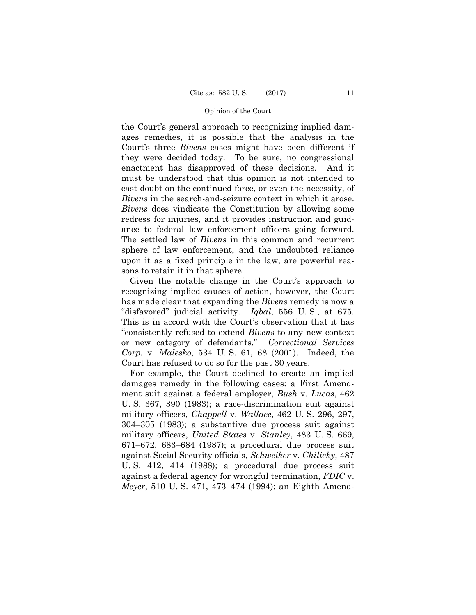the Court's general approach to recognizing implied damages remedies, it is possible that the analysis in the Court's three *Bivens* cases might have been different if they were decided today. To be sure, no congressional enactment has disapproved of these decisions. And it must be understood that this opinion is not intended to cast doubt on the continued force, or even the necessity, of *Bivens* in the search-and-seizure context in which it arose. *Bivens* does vindicate the Constitution by allowing some redress for injuries, and it provides instruction and guidance to federal law enforcement officers going forward. The settled law of *Bivens* in this common and recurrent sphere of law enforcement, and the undoubted reliance upon it as a fixed principle in the law, are powerful reasons to retain it in that sphere.

 "disfavored" judicial activity. *Iqbal*, 556 U. S., at 675. Given the notable change in the Court's approach to recognizing implied causes of action, however, the Court has made clear that expanding the *Bivens* remedy is now a This is in accord with the Court's observation that it has "consistently refused to extend *Bivens* to any new context or new category of defendants." *Correctional Services Corp.* v. *Malesko*, 534 U. S. 61, 68 (2001). Indeed, the Court has refused to do so for the past 30 years.

For example, the Court declined to create an implied damages remedy in the following cases: a First Amendment suit against a federal employer, *Bush* v. *Lucas*, 462 U. S. 367, 390 (1983); a race-discrimination suit against military officers, *Chappell* v. *Wallace*, 462 U. S. 296, 297, 304–305 (1983); a substantive due process suit against military officers, *United States* v. *Stanley*, 483 U. S. 669, 671–672, 683–684 (1987); a procedural due process suit against Social Security officials, *Schweiker* v. *Chilicky*, 487 U. S. 412, 414 (1988); a procedural due process suit against a federal agency for wrongful termination, *FDIC* v. *Meyer*, 510 U. S. 471, 473–474 (1994); an Eighth Amend-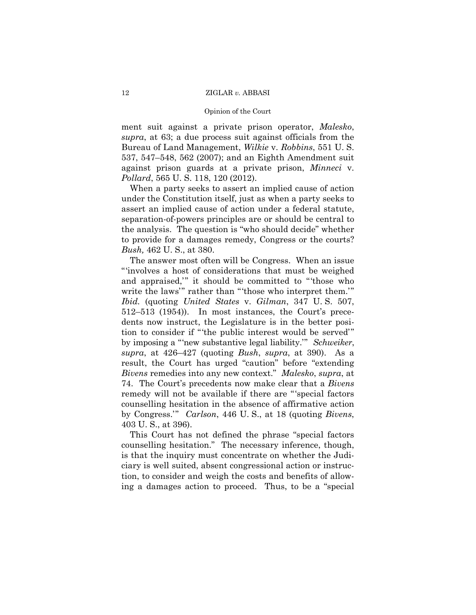#### Opinion of the Court

ment suit against a private prison operator, *Malesko*, *supra*, at 63; a due process suit against officials from the Bureau of Land Management, *Wilkie* v. *Robbins*, 551 U. S. 537, 547–548, 562 (2007); and an Eighth Amendment suit against prison guards at a private prison, *Minneci* v. *Pollard*, 565 U. S. 118, 120 (2012).

When a party seeks to assert an implied cause of action under the Constitution itself, just as when a party seeks to assert an implied cause of action under a federal statute, separation-of-powers principles are or should be central to the analysis. The question is "who should decide" whether to provide for a damages remedy, Congress or the courts? *Bush,* 462 U. S., at 380.

The answer most often will be Congress. When an issue "'involves a host of considerations that must be weighed and appraised,'" it should be committed to "'those who write the laws'" rather than "'those who interpret them.'" *Ibid.* (quoting *United States* v. *Gilman*, 347 U. S. 507, 512–513 (1954)). In most instances, the Court's precedents now instruct, the Legislature is in the better position to consider if "'the public interest would be served'" by imposing a "'new substantive legal liability.'" *Schweiker*, *supra*, at 426–427 (quoting *Bush*, *supra*, at 390). As a result, the Court has urged "caution" before "extending *Bivens* remedies into any new context." *Malesko*, *supra*, at 74. The Court's precedents now make clear that a *Bivens*  remedy will not be available if there are "'special factors counselling hesitation in the absence of affirmative action by Congress.'" *Carlson*, 446 U. S., at 18 (quoting *Bivens*, 403 U. S., at 396).

This Court has not defined the phrase "special factors counselling hesitation." The necessary inference, though, is that the inquiry must concentrate on whether the Judiciary is well suited, absent congressional action or instruction, to consider and weigh the costs and benefits of allowing a damages action to proceed. Thus, to be a "special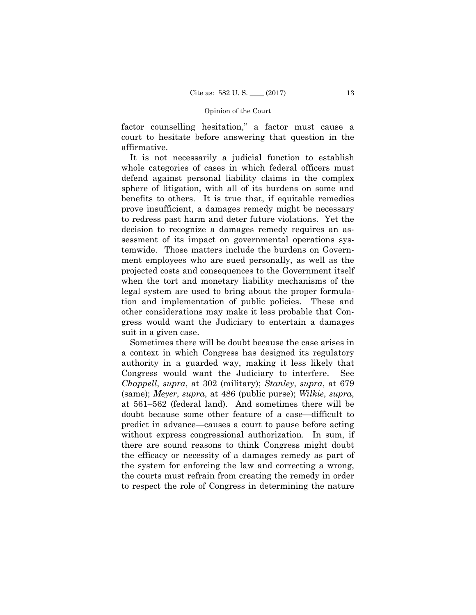factor counselling hesitation," a factor must cause a court to hesitate before answering that question in the affirmative.

It is not necessarily a judicial function to establish whole categories of cases in which federal officers must defend against personal liability claims in the complex sphere of litigation, with all of its burdens on some and benefits to others. It is true that, if equitable remedies prove insufficient, a damages remedy might be necessary to redress past harm and deter future violations. Yet the decision to recognize a damages remedy requires an assessment of its impact on governmental operations systemwide. Those matters include the burdens on Government employees who are sued personally, as well as the projected costs and consequences to the Government itself when the tort and monetary liability mechanisms of the legal system are used to bring about the proper formulation and implementation of public policies. These and other considerations may make it less probable that Congress would want the Judiciary to entertain a damages suit in a given case.

Sometimes there will be doubt because the case arises in a context in which Congress has designed its regulatory authority in a guarded way, making it less likely that Congress would want the Judiciary to interfere. See *Chappell*, *supra*, at 302 (military); *Stanley*, *supra*, at 679 (same); *Meyer*, *supra*, at 486 (public purse); *Wilkie*, *supra*, at 561–562 (federal land). And sometimes there will be doubt because some other feature of a case—difficult to predict in advance—causes a court to pause before acting without express congressional authorization. In sum, if there are sound reasons to think Congress might doubt the efficacy or necessity of a damages remedy as part of the system for enforcing the law and correcting a wrong, the courts must refrain from creating the remedy in order to respect the role of Congress in determining the nature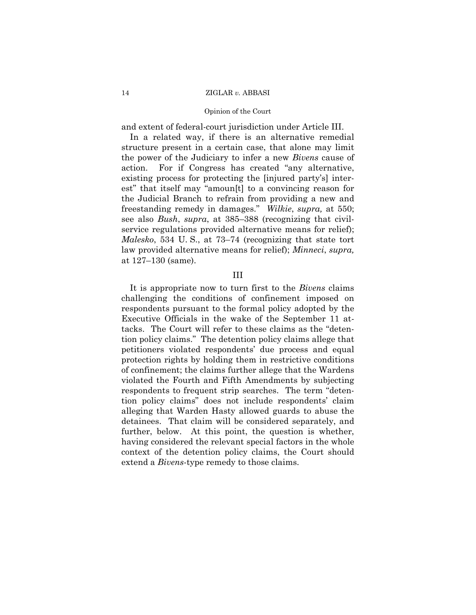#### Opinion of the Court

and extent of federal-court jurisdiction under Article III.

In a related way, if there is an alternative remedial structure present in a certain case, that alone may limit the power of the Judiciary to infer a new *Bivens* cause of action. For if Congress has created "any alternative, existing process for protecting the [injured party's] interest" that itself may "amoun[t] to a convincing reason for the Judicial Branch to refrain from providing a new and freestanding remedy in damages." *Wilkie*, *supra,* at 550; see also *Bush*, *supra*, at 385–388 (recognizing that civilservice regulations provided alternative means for relief); *Malesko*, 534 U. S., at 73–74 (recognizing that state tort law provided alternative means for relief); *Minneci*, *supra,*  at 127–130 (same).

## III

It is appropriate now to turn first to the *Bivens* claims challenging the conditions of confinement imposed on respondents pursuant to the formal policy adopted by the Executive Officials in the wake of the September 11 attacks. The Court will refer to these claims as the "detention policy claims." The detention policy claims allege that petitioners violated respondents' due process and equal protection rights by holding them in restrictive conditions of confinement; the claims further allege that the Wardens violated the Fourth and Fifth Amendments by subjecting respondents to frequent strip searches. The term "detention policy claims" does not include respondents' claim alleging that Warden Hasty allowed guards to abuse the detainees. That claim will be considered separately, and further, below. At this point, the question is whether, having considered the relevant special factors in the whole context of the detention policy claims, the Court should extend a *Bivens*-type remedy to those claims.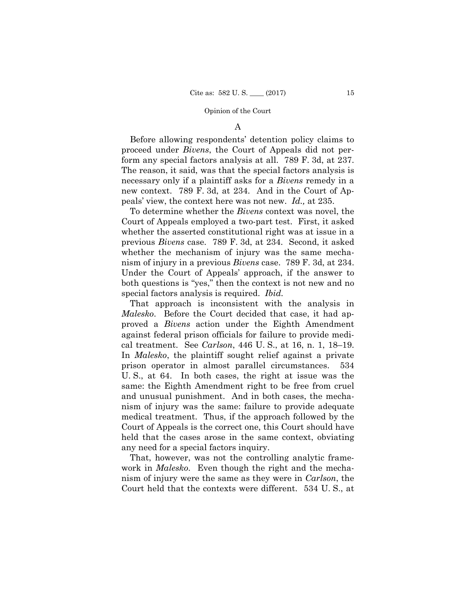### A

Before allowing respondents' detention policy claims to proceed under *Bivens*, the Court of Appeals did not perform any special factors analysis at all. 789 F. 3d, at 237. The reason, it said, was that the special factors analysis is necessary only if a plaintiff asks for a *Bivens* remedy in a new context. 789 F. 3d, at 234. And in the Court of Appeals' view, the context here was not new. *Id.,* at 235.

 previous *Bivens* case. 789 F. 3d, at 234. Second, it asked nism of injury in a previous *Bivens* case. 789 F. 3d, at 234. special factors analysis is required. *Ibid.*  To determine whether the *Bivens* context was novel, the Court of Appeals employed a two-part test. First, it asked whether the asserted constitutional right was at issue in a whether the mechanism of injury was the same mecha-Under the Court of Appeals' approach, if the answer to both questions is "yes," then the context is not new and no

That approach is inconsistent with the analysis in *Malesko*. Before the Court decided that case, it had approved a *Bivens* action under the Eighth Amendment against federal prison officials for failure to provide medical treatment. See *Carlson*, 446 U. S., at 16, n. 1, 18–19. In *Malesko*, the plaintiff sought relief against a private prison operator in almost parallel circumstances. 534 U. S., at 64. In both cases, the right at issue was the same: the Eighth Amendment right to be free from cruel and unusual punishment. And in both cases, the mechanism of injury was the same: failure to provide adequate medical treatment. Thus, if the approach followed by the Court of Appeals is the correct one, this Court should have held that the cases arose in the same context, obviating any need for a special factors inquiry.

That, however, was not the controlling analytic framework in *Malesko*. Even though the right and the mechanism of injury were the same as they were in *Carlson*, the Court held that the contexts were different. 534 U. S., at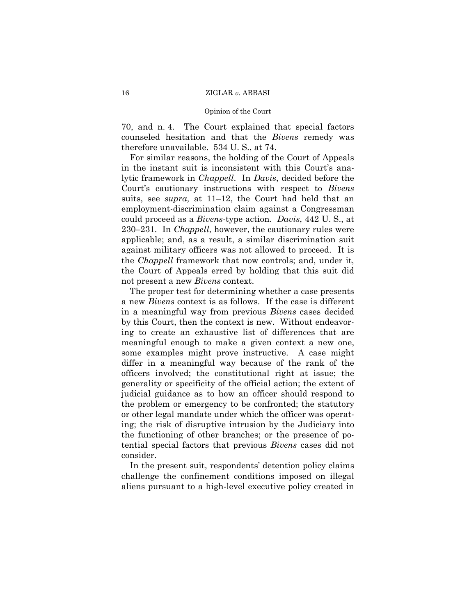70, and n. 4. The Court explained that special factors counseled hesitation and that the *Bivens* remedy was therefore unavailable. 534 U. S., at 74.

For similar reasons, the holding of the Court of Appeals in the instant suit is inconsistent with this Court's analytic framework in *Chappell*. In *Davis*, decided before the Court's cautionary instructions with respect to *Bivens*  suits, see *supra,* at 11–12, the Court had held that an employment-discrimination claim against a Congressman could proceed as a *Bivens-*type action. *Davis*, 442 U. S., at 230–231. In *Chappell*, however, the cautionary rules were applicable; and, as a result, a similar discrimination suit against military officers was not allowed to proceed. It is the *Chappell* framework that now controls; and, under it, the Court of Appeals erred by holding that this suit did not present a new *Bivens* context.

The proper test for determining whether a case presents a new *Bivens* context is as follows. If the case is different in a meaningful way from previous *Bivens* cases decided by this Court, then the context is new. Without endeavoring to create an exhaustive list of differences that are meaningful enough to make a given context a new one, some examples might prove instructive. A case might differ in a meaningful way because of the rank of the officers involved; the constitutional right at issue; the generality or specificity of the official action; the extent of judicial guidance as to how an officer should respond to the problem or emergency to be confronted; the statutory or other legal mandate under which the officer was operating; the risk of disruptive intrusion by the Judiciary into the functioning of other branches; or the presence of potential special factors that previous *Bivens* cases did not consider.

In the present suit, respondents' detention policy claims challenge the confinement conditions imposed on illegal aliens pursuant to a high-level executive policy created in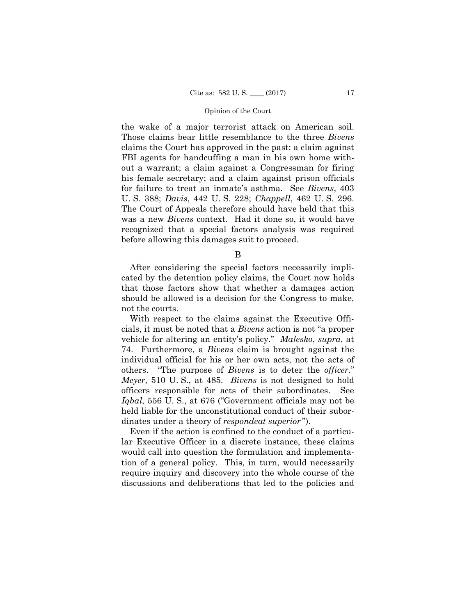the wake of a major terrorist attack on American soil. Those claims bear little resemblance to the three *Bivens*  claims the Court has approved in the past: a claim against FBI agents for handcuffing a man in his own home without a warrant; a claim against a Congressman for firing his female secretary; and a claim against prison officials for failure to treat an inmate's asthma. See *Bivens*, 403 U. S. 388; *Davis*, 442 U. S. 228; *Chappell*, 462 U. S. 296. The Court of Appeals therefore should have held that this was a new *Bivens* context. Had it done so, it would have recognized that a special factors analysis was required before allowing this damages suit to proceed.

 $\mathbf{B}$ 

After considering the special factors necessarily implicated by the detention policy claims, the Court now holds that those factors show that whether a damages action should be allowed is a decision for the Congress to make, not the courts.

With respect to the claims against the Executive Officials, it must be noted that a *Bivens* action is not "a proper vehicle for altering an entity's policy." *Malesko*, *supra*, at 74. Furthermore, a *Bivens* claim is brought against the individual official for his or her own acts, not the acts of others. "The purpose of *Bivens* is to deter the *officer*." *Meyer*, 510 U. S., at 485. *Bivens* is not designed to hold officers responsible for acts of their subordinates. See *Iqbal*, 556 U. S., at 676 ("Government officials may not be held liable for the unconstitutional conduct of their subordinates under a theory of *respondeat superior* ").

Even if the action is confined to the conduct of a particular Executive Officer in a discrete instance, these claims would call into question the formulation and implementation of a general policy. This, in turn, would necessarily require inquiry and discovery into the whole course of the discussions and deliberations that led to the policies and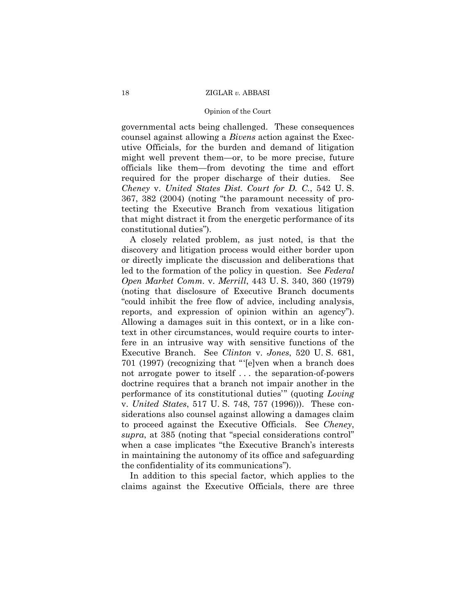governmental acts being challenged. These consequences counsel against allowing a *Bivens* action against the Executive Officials, for the burden and demand of litigation might well prevent them—or, to be more precise, future officials like them—from devoting the time and effort required for the proper discharge of their duties. See *Cheney* v. *United States Dist. Court for D. C.*, 542 U. S. 367, 382 (2004) (noting "the paramount necessity of protecting the Executive Branch from vexatious litigation that might distract it from the energetic performance of its constitutional duties").

A closely related problem, as just noted, is that the discovery and litigation process would either border upon or directly implicate the discussion and deliberations that led to the formation of the policy in question. See *Federal Open Market Comm.* v. *Merrill*, 443 U. S. 340, 360 (1979) (noting that disclosure of Executive Branch documents "could inhibit the free flow of advice, including analysis, reports, and expression of opinion within an agency"). Allowing a damages suit in this context, or in a like context in other circumstances, would require courts to interfere in an intrusive way with sensitive functions of the Executive Branch. See *Clinton* v. *Jones*, 520 U. S. 681, 701 (1997) (recognizing that "'[e]ven when a branch does not arrogate power to itself . . . the separation-of-powers doctrine requires that a branch not impair another in the performance of its constitutional duties'" (quoting *Loving*  v. *United States*, 517 U. S. 748, 757 (1996))). These considerations also counsel against allowing a damages claim to proceed against the Executive Officials. See *Cheney*, *supra*, at 385 (noting that "special considerations control" when a case implicates "the Executive Branch's interests in maintaining the autonomy of its office and safeguarding the confidentiality of its communications").

In addition to this special factor, which applies to the claims against the Executive Officials, there are three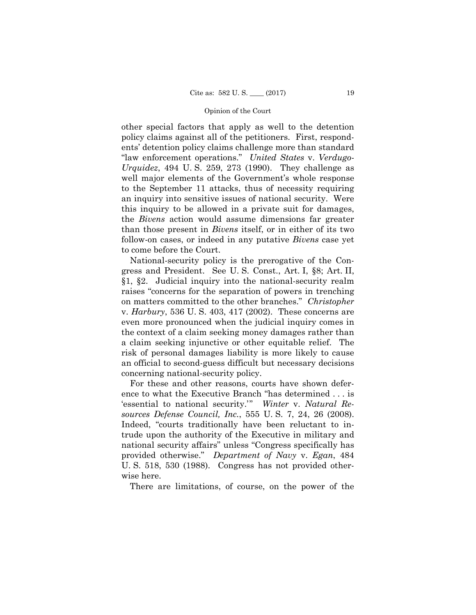other special factors that apply as well to the detention policy claims against all of the petitioners. First, respondents' detention policy claims challenge more than standard "law enforcement operations." *United States* v. *Verdugo-Urquidez*, 494 U. S. 259, 273 (1990). They challenge as well major elements of the Government's whole response to the September 11 attacks, thus of necessity requiring an inquiry into sensitive issues of national security. Were this inquiry to be allowed in a private suit for damages, the *Bivens* action would assume dimensions far greater than those present in *Bivens* itself, or in either of its two follow-on cases, or indeed in any putative *Bivens* case yet to come before the Court.

National-security policy is the prerogative of the Congress and President. See U. S. Const., Art. I, §8; Art. II, §1, §2. Judicial inquiry into the national-security realm raises "concerns for the separation of powers in trenching on matters committed to the other branches." *Christopher*  v. *Harbury*, 536 U. S. 403, 417 (2002). These concerns are even more pronounced when the judicial inquiry comes in the context of a claim seeking money damages rather than a claim seeking injunctive or other equitable relief. The risk of personal damages liability is more likely to cause an official to second-guess difficult but necessary decisions concerning national-security policy.

For these and other reasons, courts have shown deference to what the Executive Branch "has determined . . . is 'essential to national security.'" *Winter* v. *Natural Resources Defense Council, Inc.*, 555 U. S. 7, 24, 26 (2008). Indeed, "courts traditionally have been reluctant to intrude upon the authority of the Executive in military and national security affairs" unless "Congress specifically has provided otherwise." *Department of Navy* v. *Egan*, 484 U. S. 518, 530 (1988). Congress has not provided otherwise here.

There are limitations, of course, on the power of the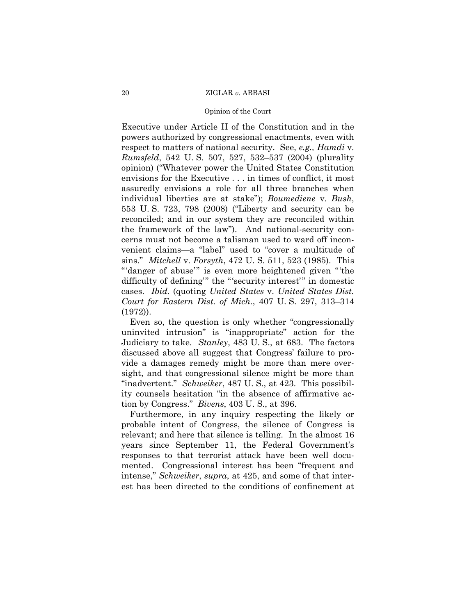#### Opinion of the Court

Executive under Article II of the Constitution and in the powers authorized by congressional enactments, even with respect to matters of national security. See, *e.g., Hamdi* v. *Rumsfeld*, 542 U. S. 507, 527, 532–537 (2004) (plurality opinion) ("Whatever power the United States Constitution envisions for the Executive . . . in times of conflict, it most assuredly envisions a role for all three branches when individual liberties are at stake"); *Boumediene* v. *Bush*, 553 U. S. 723, 798 (2008) ("Liberty and security can be reconciled; and in our system they are reconciled within the framework of the law"). And national-security concerns must not become a talisman used to ward off inconvenient claims—a "label" used to "cover a multitude of sins." *Mitchell* v. *Forsyth*, 472 U. S. 511, 523 (1985). This "'danger of abuse'" is even more heightened given "'the difficulty of defining'" the "'security interest'" in domestic cases. *Ibid.* (quoting *United States* v. *United States Dist. Court for Eastern Dist. of Mich.*, 407 U. S. 297, 313–314 (1972)).

Even so, the question is only whether "congressionally uninvited intrusion" is "inappropriate" action for the Judiciary to take. *Stanley*, 483 U. S., at 683. The factors discussed above all suggest that Congress' failure to provide a damages remedy might be more than mere oversight, and that congressional silence might be more than "inadvertent." *Schweiker*, 487 U. S., at 423. This possibility counsels hesitation "in the absence of affirmative action by Congress." *Bivens*, 403 U. S., at 396.

Furthermore, in any inquiry respecting the likely or probable intent of Congress, the silence of Congress is relevant; and here that silence is telling. In the almost 16 years since September 11, the Federal Government's responses to that terrorist attack have been well documented. Congressional interest has been "frequent and intense," *Schweiker*, *supra*, at 425, and some of that interest has been directed to the conditions of confinement at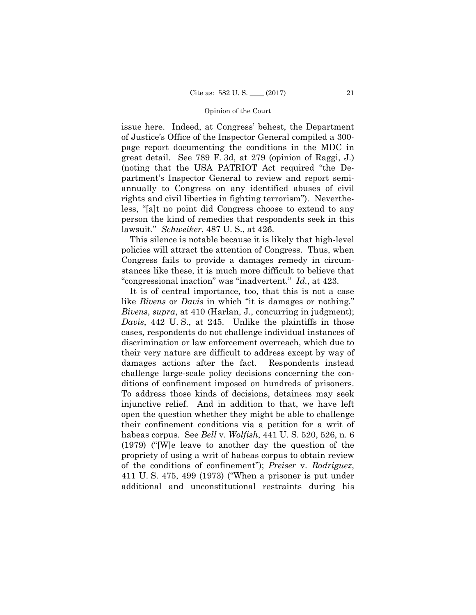issue here. Indeed, at Congress' behest, the Department of Justice's Office of the Inspector General compiled a 300 page report documenting the conditions in the MDC in great detail. See 789 F. 3d, at 279 (opinion of Raggi, J.) (noting that the USA PATRIOT Act required "the Department's Inspector General to review and report semiannually to Congress on any identified abuses of civil rights and civil liberties in fighting terrorism"). Nevertheless, "[a]t no point did Congress choose to extend to any person the kind of remedies that respondents seek in this lawsuit." *Schweiker*, 487 U. S., at 426.

This silence is notable because it is likely that high-level policies will attract the attention of Congress. Thus, when Congress fails to provide a damages remedy in circumstances like these, it is much more difficult to believe that "congressional inaction" was "inadvertent." *Id.*, at 423.

It is of central importance, too, that this is not a case like *Bivens* or *Davis* in which "it is damages or nothing." *Bivens*, *supra*, at 410 (Harlan, J., concurring in judgment); *Davis*, 442 U. S., at 245. Unlike the plaintiffs in those cases, respondents do not challenge individual instances of discrimination or law enforcement overreach, which due to their very nature are difficult to address except by way of damages actions after the fact. Respondents instead challenge large-scale policy decisions concerning the conditions of confinement imposed on hundreds of prisoners. To address those kinds of decisions, detainees may seek injunctive relief. And in addition to that, we have left open the question whether they might be able to challenge their confinement conditions via a petition for a writ of habeas corpus. See *Bell* v. *Wolfish*, 441 U. S. 520, 526, n. 6 (1979) ("[W]e leave to another day the question of the propriety of using a writ of habeas corpus to obtain review of the conditions of confinement"); *Preiser* v. *Rodriguez*, 411 U. S. 475, 499 (1973) ("When a prisoner is put under additional and unconstitutional restraints during his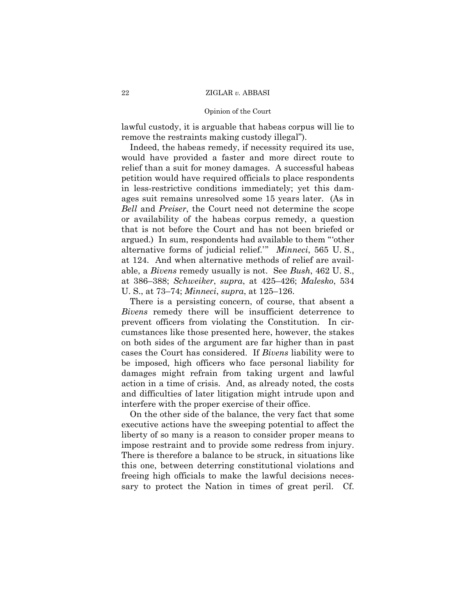#### Opinion of the Court

lawful custody, it is arguable that habeas corpus will lie to remove the restraints making custody illegal").

Indeed, the habeas remedy, if necessity required its use, would have provided a faster and more direct route to relief than a suit for money damages. A successful habeas petition would have required officials to place respondents in less-restrictive conditions immediately; yet this damages suit remains unresolved some 15 years later. (As in *Bell* and *Preiser*, the Court need not determine the scope or availability of the habeas corpus remedy, a question that is not before the Court and has not been briefed or argued.) In sum, respondents had available to them "'other alternative forms of judicial relief.'" *Minneci*, 565 U. S., at 124. And when alternative methods of relief are available, a *Bivens* remedy usually is not. See *Bush*, 462 U. S., at 386–388; *Schweiker*, *supra*, at 425–426; *Malesko*, 534 U. S., at 73–74; *Minneci*, *supra*, at 125–126.

There is a persisting concern, of course, that absent a *Bivens* remedy there will be insufficient deterrence to prevent officers from violating the Constitution. In circumstances like those presented here, however, the stakes on both sides of the argument are far higher than in past cases the Court has considered. If *Bivens* liability were to be imposed, high officers who face personal liability for damages might refrain from taking urgent and lawful action in a time of crisis. And, as already noted, the costs and difficulties of later litigation might intrude upon and interfere with the proper exercise of their office.

On the other side of the balance, the very fact that some executive actions have the sweeping potential to affect the liberty of so many is a reason to consider proper means to impose restraint and to provide some redress from injury. There is therefore a balance to be struck, in situations like this one, between deterring constitutional violations and freeing high officials to make the lawful decisions necessary to protect the Nation in times of great peril. Cf.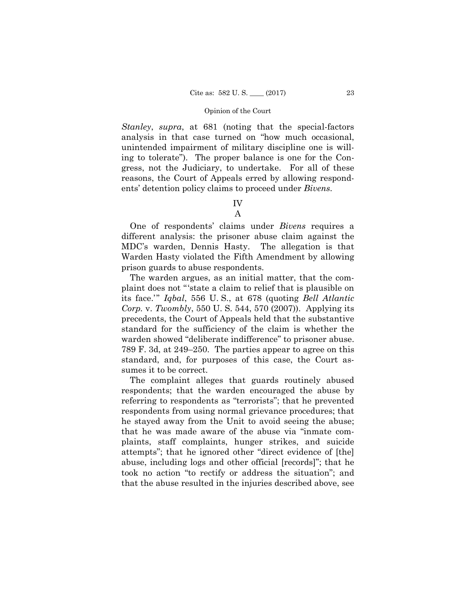*Stanley*, *supra*, at 681 (noting that the special-factors analysis in that case turned on "how much occasional, unintended impairment of military discipline one is willing to tolerate"). The proper balance is one for the Congress, not the Judiciary, to undertake. For all of these reasons, the Court of Appeals erred by allowing respondents' detention policy claims to proceed under *Bivens*.

# IV A

One of respondents' claims under *Bivens* requires a different analysis: the prisoner abuse claim against the MDC's warden, Dennis Hasty. The allegation is that Warden Hasty violated the Fifth Amendment by allowing prison guards to abuse respondents.

 warden showed "deliberate indifference" to prisoner abuse. The warden argues, as an initial matter, that the complaint does not "'state a claim to relief that is plausible on its face.'" *Iqbal*, 556 U. S., at 678 (quoting *Bell Atlantic Corp.* v. *Twombly*, 550 U. S. 544, 570 (2007)). Applying its precedents, the Court of Appeals held that the substantive standard for the sufficiency of the claim is whether the 789 F. 3d, at 249–250. The parties appear to agree on this standard, and, for purposes of this case, the Court assumes it to be correct.

The complaint alleges that guards routinely abused respondents; that the warden encouraged the abuse by referring to respondents as "terrorists"; that he prevented respondents from using normal grievance procedures; that he stayed away from the Unit to avoid seeing the abuse; that he was made aware of the abuse via "inmate complaints, staff complaints, hunger strikes, and suicide attempts"; that he ignored other "direct evidence of [the] abuse, including logs and other official [records]"; that he took no action "to rectify or address the situation"; and that the abuse resulted in the injuries described above, see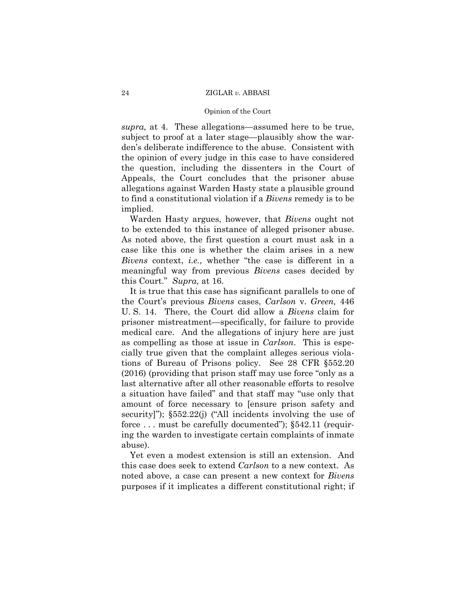#### Opinion of the Court

*supra,* at 4. These allegations—assumed here to be true, subject to proof at a later stage—plausibly show the warden's deliberate indifference to the abuse. Consistent with the opinion of every judge in this case to have considered the question, including the dissenters in the Court of Appeals, the Court concludes that the prisoner abuse allegations against Warden Hasty state a plausible ground to find a constitutional violation if a *Bivens* remedy is to be implied.

 this Court." *Supra,* at 16. Warden Hasty argues, however, that *Bivens* ought not to be extended to this instance of alleged prisoner abuse. As noted above, the first question a court must ask in a case like this one is whether the claim arises in a new *Bivens* context, *i.e.*, whether "the case is different in a meaningful way from previous *Bivens* cases decided by

 U. S. 14. There, the Court did allow a *Bivens* claim for It is true that this case has significant parallels to one of the Court's previous *Bivens* cases, *Carlson* v. *Green,* 446 prisoner mistreatment—specifically, for failure to provide medical care. And the allegations of injury here are just as compelling as those at issue in *Carlson*. This is especially true given that the complaint alleges serious violations of Bureau of Prisons policy. See 28 CFR §552.20 (2016) (providing that prison staff may use force "only as a last alternative after all other reasonable efforts to resolve a situation have failed" and that staff may "use only that amount of force necessary to [ensure prison safety and security]");  $\S 552.22(j)$  ("All incidents involving the use of force . . . must be carefully documented"); §542.11 (requiring the warden to investigate certain complaints of inmate abuse).

Yet even a modest extension is still an extension. And this case does seek to extend *Carlson* to a new context. As noted above, a case can present a new context for *Bivens*  purposes if it implicates a different constitutional right; if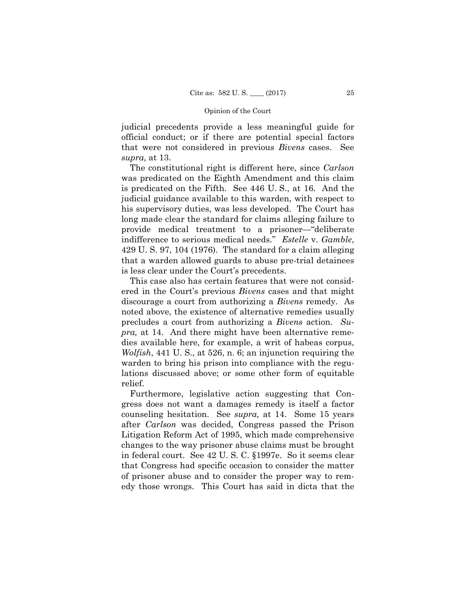judicial precedents provide a less meaningful guide for official conduct; or if there are potential special factors that were not considered in previous *Bivens* cases. See *supra,* at 13.

The constitutional right is different here, since *Carlson*  was predicated on the Eighth Amendment and this claim is predicated on the Fifth. See 446 U. S., at 16. And the judicial guidance available to this warden, with respect to his supervisory duties, was less developed. The Court has long made clear the standard for claims alleging failure to provide medical treatment to a prisoner—"deliberate indifference to serious medical needs." *Estelle* v. *Gamble*, 429 U. S. 97, 104 (1976). The standard for a claim alleging that a warden allowed guards to abuse pre-trial detainees is less clear under the Court's precedents.

This case also has certain features that were not considered in the Court's previous *Bivens* cases and that might discourage a court from authorizing a *Bivens* remedy. As noted above, the existence of alternative remedies usually precludes a court from authorizing a *Bivens* action. *Supra,* at 14. And there might have been alternative remedies available here, for example, a writ of habeas corpus, *Wolfish*, 441 U. S., at 526, n. 6; an injunction requiring the warden to bring his prison into compliance with the regulations discussed above; or some other form of equitable relief.

Furthermore, legislative action suggesting that Congress does not want a damages remedy is itself a factor counseling hesitation. See *supra,* at 14. Some 15 years after *Carlson* was decided, Congress passed the Prison Litigation Reform Act of 1995, which made comprehensive changes to the way prisoner abuse claims must be brought in federal court. See 42 U. S. C. §1997e. So it seems clear that Congress had specific occasion to consider the matter of prisoner abuse and to consider the proper way to remedy those wrongs. This Court has said in dicta that the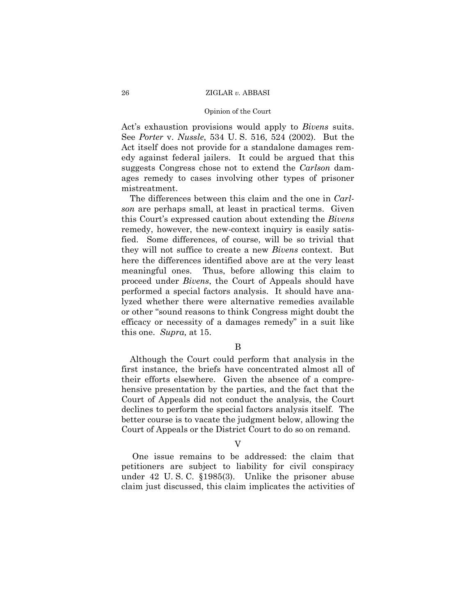#### Opinion of the Court

Act's exhaustion provisions would apply to *Bivens* suits. See *Porter* v. *Nussle*, 534 U. S. 516, 524 (2002). But the Act itself does not provide for a standalone damages remedy against federal jailers. It could be argued that this suggests Congress chose not to extend the *Carlson* damages remedy to cases involving other types of prisoner mistreatment.

The differences between this claim and the one in *Carlson* are perhaps small, at least in practical terms. Given this Court's expressed caution about extending the *Bivens*  remedy, however, the new-context inquiry is easily satisfied. Some differences, of course, will be so trivial that they will not suffice to create a new *Bivens* context. But here the differences identified above are at the very least meaningful ones. Thus, before allowing this claim to proceed under *Bivens*, the Court of Appeals should have performed a special factors analysis. It should have analyzed whether there were alternative remedies available or other "sound reasons to think Congress might doubt the efficacy or necessity of a damages remedy" in a suit like this one. *Supra,* at 15.

# B

Although the Court could perform that analysis in the first instance, the briefs have concentrated almost all of their efforts elsewhere. Given the absence of a comprehensive presentation by the parties, and the fact that the Court of Appeals did not conduct the analysis, the Court declines to perform the special factors analysis itself. The better course is to vacate the judgment below, allowing the Court of Appeals or the District Court to do so on remand.

# V

One issue remains to be addressed: the claim that petitioners are subject to liability for civil conspiracy under 42 U. S. C. §1985(3). Unlike the prisoner abuse claim just discussed, this claim implicates the activities of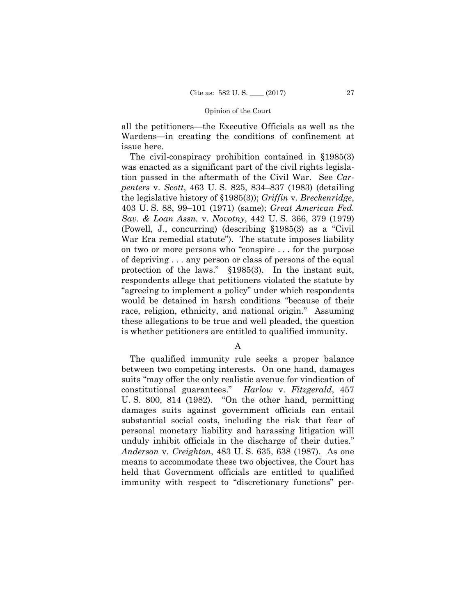all the petitioners—the Executive Officials as well as the Wardens—in creating the conditions of confinement at issue here.

The civil-conspiracy prohibition contained in §1985(3) was enacted as a significant part of the civil rights legislation passed in the aftermath of the Civil War. See *Carpenters* v. *Scott*, 463 U. S. 825, 834–837 (1983) (detailing the legislative history of §1985(3)); *Griffin* v. *Breckenridge*, 403 U. S. 88, 99–101 (1971) (same); *Great American Fed. Sav. & Loan Assn.* v. *Novotny*, 442 U. S. 366, 379 (1979) (Powell, J., concurring) (describing §1985(3) as a "Civil War Era remedial statute"). The statute imposes liability on two or more persons who "conspire . . . for the purpose of depriving . . . any person or class of persons of the equal protection of the laws." §1985(3). In the instant suit, respondents allege that petitioners violated the statute by "agreeing to implement a policy" under which respondents would be detained in harsh conditions "because of their race, religion, ethnicity, and national origin." Assuming these allegations to be true and well pleaded, the question is whether petitioners are entitled to qualified immunity.

# A

The qualified immunity rule seeks a proper balance between two competing interests. On one hand, damages suits "may offer the only realistic avenue for vindication of constitutional guarantees." *Harlow* v. *Fitzgerald*, 457 U. S. 800, 814 (1982). "On the other hand, permitting damages suits against government officials can entail substantial social costs, including the risk that fear of personal monetary liability and harassing litigation will unduly inhibit officials in the discharge of their duties." *Anderson* v. *Creighton*, 483 U. S. 635, 638 (1987). As one means to accommodate these two objectives, the Court has held that Government officials are entitled to qualified immunity with respect to "discretionary functions" per-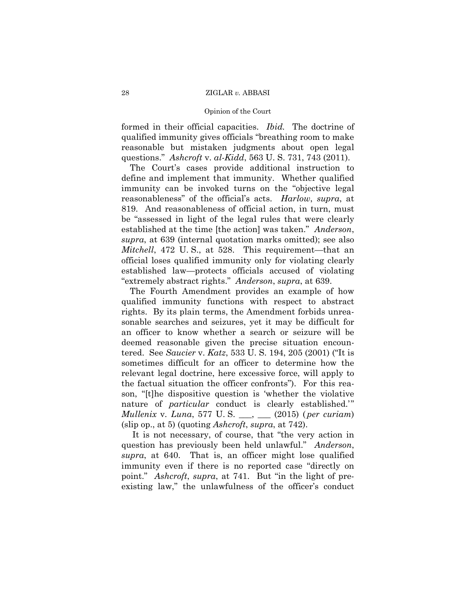formed in their official capacities. *Ibid*. The doctrine of qualified immunity gives officials "breathing room to make reasonable but mistaken judgments about open legal questions." *Ashcroft* v. *al-Kidd*, 563 U. S. 731, 743 (2011).

The Court's cases provide additional instruction to define and implement that immunity. Whether qualified immunity can be invoked turns on the "objective legal reasonableness" of the official's acts. *Harlow*, *supra*, at 819. And reasonableness of official action, in turn, must be "assessed in light of the legal rules that were clearly established at the time [the action] was taken." *Anderson*, *supra*, at 639 (internal quotation marks omitted); see also *Mitchell*, 472 U.S., at 528. This requirement—that an official loses qualified immunity only for violating clearly established law—protects officials accused of violating "extremely abstract rights." *Anderson*, *supra*, at 639.

The Fourth Amendment provides an example of how qualified immunity functions with respect to abstract rights. By its plain terms, the Amendment forbids unreasonable searches and seizures, yet it may be difficult for an officer to know whether a search or seizure will be deemed reasonable given the precise situation encountered. See *Saucier* v. *Katz*, 533 U. S. 194, 205 (2001) ("It is sometimes difficult for an officer to determine how the relevant legal doctrine, here excessive force, will apply to the factual situation the officer confronts"). For this reason, "[t]he dispositive question is 'whether the violative nature of *particular* conduct is clearly established.'" *Mullenix* v. *Luna*, 577 U. S. \_\_\_, \_\_\_ (2015) ( *per curiam*) (slip op., at 5) (quoting *Ashcroft*, *supra*, at 742).

It is not necessary, of course, that "the very action in question has previously been held unlawful." *Anderson*, *supra*, at 640. That is, an officer might lose qualified immunity even if there is no reported case "directly on point." *Ashcroft*, *supra*, at 741. But "in the light of preexisting law," the unlawfulness of the officer's conduct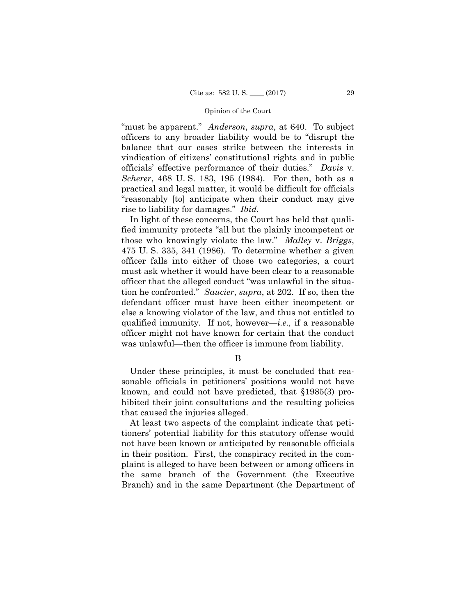"must be apparent." *Anderson*, *supra*, at 640. To subject officers to any broader liability would be to "disrupt the balance that our cases strike between the interests in vindication of citizens' constitutional rights and in public officials' effective performance of their duties." *Davis* v. *Scherer*, 468 U. S. 183, 195 (1984). For then, both as a practical and legal matter, it would be difficult for officials "reasonably [to] anticipate when their conduct may give rise to liability for damages." *Ibid.* 

In light of these concerns, the Court has held that qualified immunity protects "all but the plainly incompetent or those who knowingly violate the law." *Malley* v. *Briggs*, 475 U. S. 335, 341 (1986). To determine whether a given officer falls into either of those two categories, a court must ask whether it would have been clear to a reasonable officer that the alleged conduct "was unlawful in the situation he confronted." *Saucier*, *supra*, at 202. If so, then the defendant officer must have been either incompetent or else a knowing violator of the law, and thus not entitled to qualified immunity. If not, however—*i.e.,* if a reasonable officer might not have known for certain that the conduct was unlawful—then the officer is immune from liability.

B

Under these principles, it must be concluded that reasonable officials in petitioners' positions would not have known, and could not have predicted, that §1985(3) prohibited their joint consultations and the resulting policies that caused the injuries alleged.

At least two aspects of the complaint indicate that petitioners' potential liability for this statutory offense would not have been known or anticipated by reasonable officials in their position. First, the conspiracy recited in the complaint is alleged to have been between or among officers in the same branch of the Government (the Executive Branch) and in the same Department (the Department of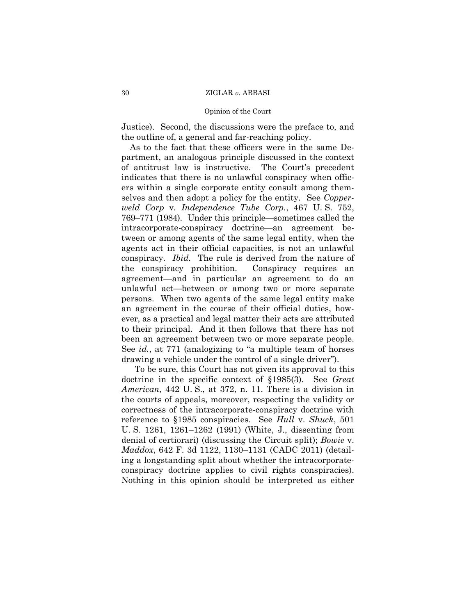#### Opinion of the Court

Justice). Second, the discussions were the preface to, and the outline of, a general and far-reaching policy.

As to the fact that these officers were in the same Department, an analogous principle discussed in the context of antitrust law is instructive. The Court's precedent indicates that there is no unlawful conspiracy when officers within a single corporate entity consult among themselves and then adopt a policy for the entity. See *Copperweld Corp* v*. Independence Tube Corp.*, 467 U. S. 752, 769–771 (1984). Under this principle—sometimes called the intracorporate-conspiracy doctrine—an agreement between or among agents of the same legal entity, when the agents act in their official capacities, is not an unlawful conspiracy. *Ibid.* The rule is derived from the nature of the conspiracy prohibition. Conspiracy requires an agreement—and in particular an agreement to do an unlawful act—between or among two or more separate persons. When two agents of the same legal entity make an agreement in the course of their official duties, however, as a practical and legal matter their acts are attributed to their principal. And it then follows that there has not been an agreement between two or more separate people. See *id.*, at 771 (analogizing to "a multiple team of horses drawing a vehicle under the control of a single driver").

To be sure, this Court has not given its approval to this doctrine in the specific context of §1985(3). See *Great American,* 442 U. S., at 372, n. 11. There is a division in the courts of appeals, moreover, respecting the validity or correctness of the intracorporate-conspiracy doctrine with reference to §1985 conspiracies. See *Hull* v. *Shuck*, 501 U. S. 1261, 1261–1262 (1991) (White, J., dissenting from denial of certiorari) (discussing the Circuit split); *Bowie* v. *Maddox*, 642 F. 3d 1122, 1130–1131 (CADC 2011) (detailing a longstanding split about whether the intracorporateconspiracy doctrine applies to civil rights conspiracies). Nothing in this opinion should be interpreted as either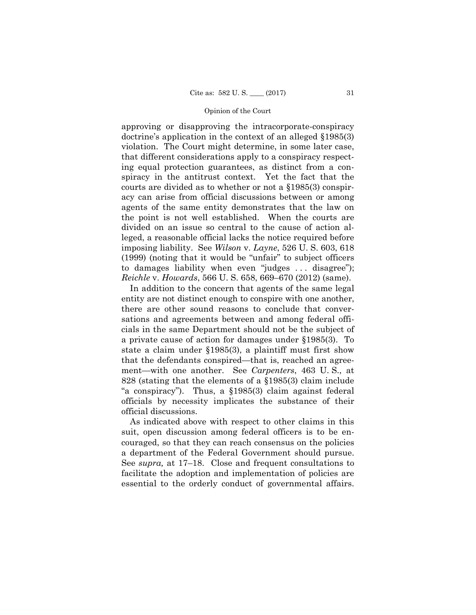approving or disapproving the intracorporate-conspiracy doctrine's application in the context of an alleged §1985(3) violation. The Court might determine, in some later case, that different considerations apply to a conspiracy respecting equal protection guarantees, as distinct from a conspiracy in the antitrust context. Yet the fact that the courts are divided as to whether or not a §1985(3) conspiracy can arise from official discussions between or among agents of the same entity demonstrates that the law on the point is not well established. When the courts are divided on an issue so central to the cause of action alleged, a reasonable official lacks the notice required before imposing liability. See *Wilson* v. *Layne*, 526 U. S. 603, 618 (1999) (noting that it would be "unfair" to subject officers to damages liability when even "judges . . . disagree"); *Reichle* v. *Howards*, 566 U. S. 658, 669–670 (2012) (same).

In addition to the concern that agents of the same legal entity are not distinct enough to conspire with one another, there are other sound reasons to conclude that conversations and agreements between and among federal officials in the same Department should not be the subject of a private cause of action for damages under §1985(3). To state a claim under §1985(3), a plaintiff must first show that the defendants conspired—that is, reached an agreement—with one another. See *Carpenters*, 463 U. S., at 828 (stating that the elements of a §1985(3) claim include "a conspiracy"). Thus, a §1985(3) claim against federal officials by necessity implicates the substance of their official discussions.

 facilitate the adoption and implementation of policies are As indicated above with respect to other claims in this suit, open discussion among federal officers is to be encouraged, so that they can reach consensus on the policies a department of the Federal Government should pursue. See *supra,* at 17–18. Close and frequent consultations to essential to the orderly conduct of governmental affairs.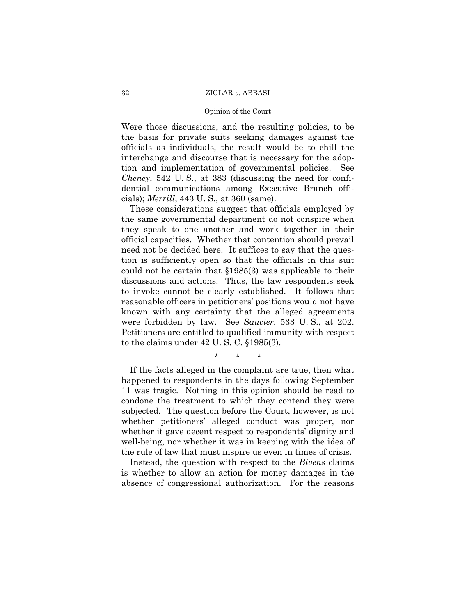#### Opinion of the Court

Were those discussions, and the resulting policies, to be the basis for private suits seeking damages against the officials as individuals, the result would be to chill the interchange and discourse that is necessary for the adoption and implementation of governmental policies. See *Cheney*, 542 U. S., at 383 (discussing the need for confidential communications among Executive Branch officials); *Merrill*, 443 U. S., at 360 (same).

These considerations suggest that officials employed by the same governmental department do not conspire when they speak to one another and work together in their official capacities. Whether that contention should prevail need not be decided here. It suffices to say that the question is sufficiently open so that the officials in this suit could not be certain that §1985(3) was applicable to their discussions and actions. Thus, the law respondents seek to invoke cannot be clearly established. It follows that reasonable officers in petitioners' positions would not have known with any certainty that the alleged agreements were forbidden by law. See *Saucier*, 533 U. S., at 202. Petitioners are entitled to qualified immunity with respect to the claims under 42 U. S. C. §1985(3).

\* \* \*

If the facts alleged in the complaint are true, then what happened to respondents in the days following September 11 was tragic. Nothing in this opinion should be read to condone the treatment to which they contend they were subjected. The question before the Court, however, is not whether petitioners' alleged conduct was proper, nor whether it gave decent respect to respondents' dignity and well-being, nor whether it was in keeping with the idea of the rule of law that must inspire us even in times of crisis.

Instead, the question with respect to the *Bivens* claims is whether to allow an action for money damages in the absence of congressional authorization. For the reasons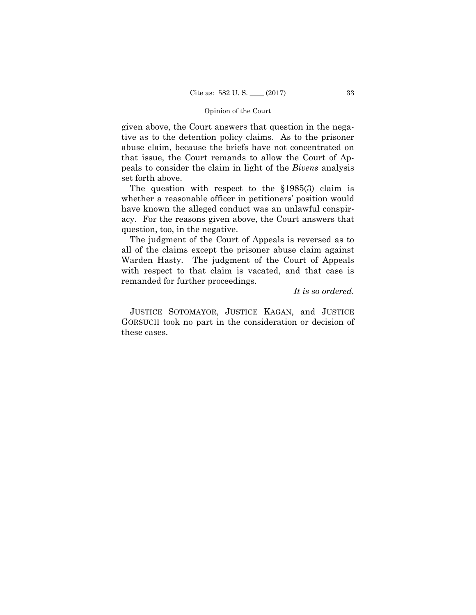given above, the Court answers that question in the negative as to the detention policy claims. As to the prisoner abuse claim, because the briefs have not concentrated on that issue, the Court remands to allow the Court of Appeals to consider the claim in light of the *Bivens* analysis set forth above.

The question with respect to the §1985(3) claim is whether a reasonable officer in petitioners' position would have known the alleged conduct was an unlawful conspiracy. For the reasons given above, the Court answers that question, too, in the negative.

The judgment of the Court of Appeals is reversed as to all of the claims except the prisoner abuse claim against Warden Hasty. The judgment of the Court of Appeals with respect to that claim is vacated, and that case is remanded for further proceedings.

*It is so ordered.*

 JUSTICE SOTOMAYOR, JUSTICE KAGAN, and JUSTICE GORSUCH took no part in the consideration or decision of these cases.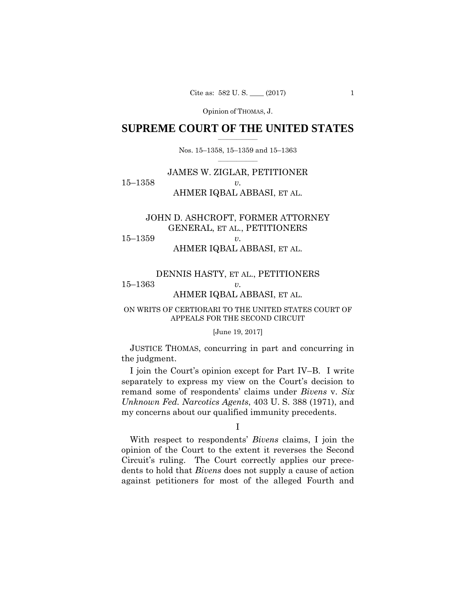# $\frac{1}{2}$  ,  $\frac{1}{2}$  ,  $\frac{1}{2}$  ,  $\frac{1}{2}$  ,  $\frac{1}{2}$  ,  $\frac{1}{2}$  ,  $\frac{1}{2}$ **SUPREME COURT OF THE UNITED STATES**

 $\frac{1}{2}$  ,  $\frac{1}{2}$  ,  $\frac{1}{2}$  ,  $\frac{1}{2}$  ,  $\frac{1}{2}$  ,  $\frac{1}{2}$ Nos. 15–1358, 15–1359 and 15–1363

JAMES W. ZIGLAR, PETITIONER 15–1358 *v.*  AHMER IQBAL ABBASI, ET AL.

# JOHN D. ASHCROFT, FORMER ATTORNEY GENERAL, ET AL., PETITIONERS

15–1359 *v.* 

AHMER IQBAL ABBASI, ET AL.

# DENNIS HASTY, ET AL., PETITIONERS 15–1363 *v.*

# AHMER IQBAL ABBASI, ET AL.

# ON WRITS OF CERTIORARI TO THE UNITED STATES COURT OF APPEALS FOR THE SECOND CIRCUIT

[June 19, 2017]

JUSTICE THOMAS, concurring in part and concurring in the judgment.

I join the Court's opinion except for Part IV–B. I write separately to express my view on the Court's decision to remand some of respondents' claims under *Bivens* v. *Six Unknown Fed. Narcotics Agents*, 403 U. S. 388 (1971), and my concerns about our qualified immunity precedents.

I

With respect to respondents' *Bivens* claims, I join the opinion of the Court to the extent it reverses the Second Circuit's ruling. The Court correctly applies our precedents to hold that *Bivens* does not supply a cause of action against petitioners for most of the alleged Fourth and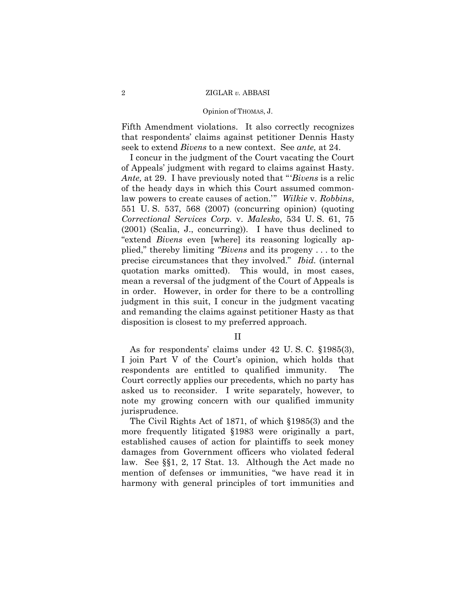#### Opinion of THOMAS, J.

Fifth Amendment violations. It also correctly recognizes that respondents' claims against petitioner Dennis Hasty seek to extend *Bivens* to a new context. See *ante,* at 24.

I concur in the judgment of the Court vacating the Court of Appeals' judgment with regard to claims against Hasty. *Ante,* at 29. I have previously noted that "'*Bivens* is a relic of the heady days in which this Court assumed commonlaw powers to create causes of action.'" *Wilkie* v. *Robbins*, 551 U. S. 537, 568 (2007) (concurring opinion) (quoting *Correctional Services Corp.* v. *Malesko*, 534 U. S. 61, 75 (2001) (Scalia, J., concurring)). I have thus declined to "extend *Bivens* even [where] its reasoning logically applied," thereby limiting *"Bivens* and its progeny . . . to the precise circumstances that they involved." *Ibid.* (internal quotation marks omitted). This would, in most cases, mean a reversal of the judgment of the Court of Appeals is in order. However, in order for there to be a controlling judgment in this suit, I concur in the judgment vacating and remanding the claims against petitioner Hasty as that disposition is closest to my preferred approach.

# II

As for respondents' claims under 42 U. S. C. §1985(3), I join Part V of the Court's opinion, which holds that respondents are entitled to qualified immunity. The Court correctly applies our precedents, which no party has asked us to reconsider. I write separately, however, to note my growing concern with our qualified immunity jurisprudence.

The Civil Rights Act of 1871, of which §1985(3) and the more frequently litigated §1983 were originally a part, established causes of action for plaintiffs to seek money damages from Government officers who violated federal law. See §§1, 2, 17 Stat. 13. Although the Act made no mention of defenses or immunities, "we have read it in harmony with general principles of tort immunities and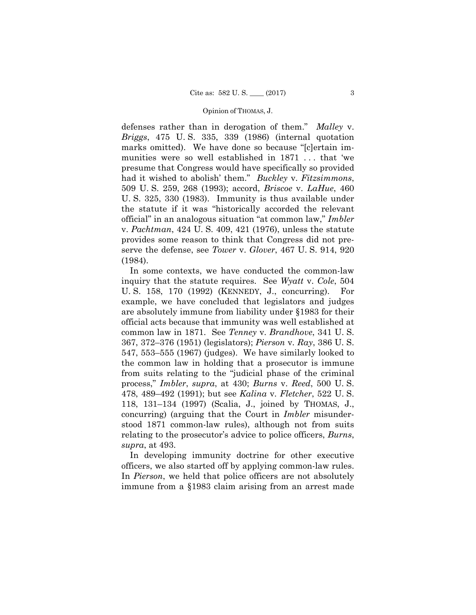defenses rather than in derogation of them." *Malley* v. *Briggs*, 475 U. S. 335, 339 (1986) (internal quotation marks omitted). We have done so because "[c]ertain immunities were so well established in 1871 . . . that 'we presume that Congress would have specifically so provided had it wished to abolish' them." *Buckley* v. *Fitzsimmons*, 509 U. S. 259, 268 (1993); accord, *Briscoe* v. *LaHue*, 460 U. S. 325, 330 (1983). Immunity is thus available under the statute if it was "historically accorded the relevant official" in an analogous situation "at common law," *Imbler*  v. *Pachtman*, 424 U. S. 409, 421 (1976), unless the statute provides some reason to think that Congress did not preserve the defense, see *Tower* v. *Glover*, 467 U. S. 914, 920 (1984).

 367, 372–376 (1951) (legislators); *Pierson* v. *Ray*, 386 U. S. process," *Imbler*, *supra*, at 430; *Burns* v. *Reed*, 500 U. S. In some contexts, we have conducted the common-law inquiry that the statute requires. See *Wyatt* v. *Cole*, 504 U. S. 158, 170 (1992) (KENNEDY, J., concurring). For example, we have concluded that legislators and judges are absolutely immune from liability under §1983 for their official acts because that immunity was well established at common law in 1871. See *Tenney* v. *Brandhove*, 341 U. S. 547, 553–555 (1967) (judges). We have similarly looked to the common law in holding that a prosecutor is immune from suits relating to the "judicial phase of the criminal 478, 489–492 (1991); but see *Kalina* v. *Fletcher*, 522 U. S. 118, 131–134 (1997) (Scalia, J., joined by THOMAS, J., concurring) (arguing that the Court in *Imbler* misunderstood 1871 common-law rules), although not from suits relating to the prosecutor's advice to police officers, *Burns*, *supra*, at 493.

In developing immunity doctrine for other executive officers, we also started off by applying common-law rules. In *Pierson*, we held that police officers are not absolutely immune from a §1983 claim arising from an arrest made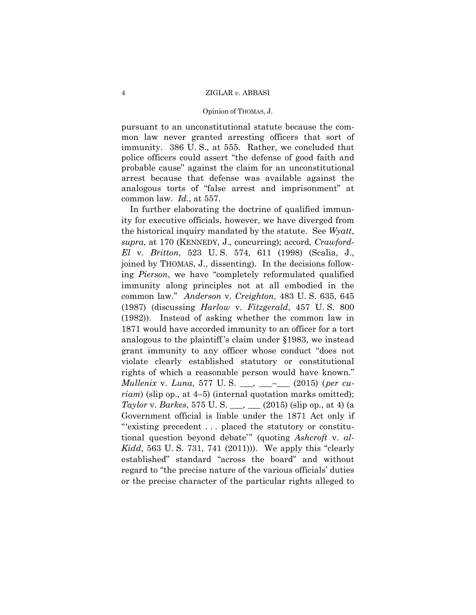pursuant to an unconstitutional statute because the common law never granted arresting officers that sort of immunity. 386 U. S., at 555. Rather, we concluded that police officers could assert "the defense of good faith and probable cause" against the claim for an unconstitutional arrest because that defense was available against the analogous torts of "false arrest and imprisonment" at common law. *Id.*, at 557.

In further elaborating the doctrine of qualified immunity for executive officials, however, we have diverged from the historical inquiry mandated by the statute. See *Wyatt*, *supra*, at 170 (KENNEDY, J., concurring); accord, *Crawford-El* v. *Britton*, 523 U. S. 574, 611 (1998) (Scalia, J., joined by THOMAS, J., dissenting). In the decisions following *Pierson*, we have "completely reformulated qualified immunity along principles not at all embodied in the common law." *Anderson* v. *Creighton*, 483 U. S. 635, 645 (1987) (discussing *Harlow* v. *Fitzgerald*, 457 U. S. 800 (1982)). Instead of asking whether the common law in 1871 would have accorded immunity to an officer for a tort analogous to the plaintiff 's claim under §1983, we instead grant immunity to any officer whose conduct "does not violate clearly established statutory or constitutional rights of which a reasonable person would have known." *Mullenix* v. *Luna*, 577 U. S. \_\_\_, \_\_\_–\_\_\_ (2015) (*per curiam*) (slip op., at 4–5) (internal quotation marks omitted); *Taylor* v. *Barkes*, 575 U. S. \_\_\_, \_\_\_ (2015) (slip op., at 4) (a Government official is liable under the 1871 Act only if "'existing precedent . . . placed the statutory or constitutional question beyond debate'" (quoting *Ashcroft* v. *al-Kidd*, 563 U. S. 731, 741 (2011))). We apply this "clearly established" standard "across the board" and without regard to "the precise nature of the various officials' duties or the precise character of the particular rights alleged to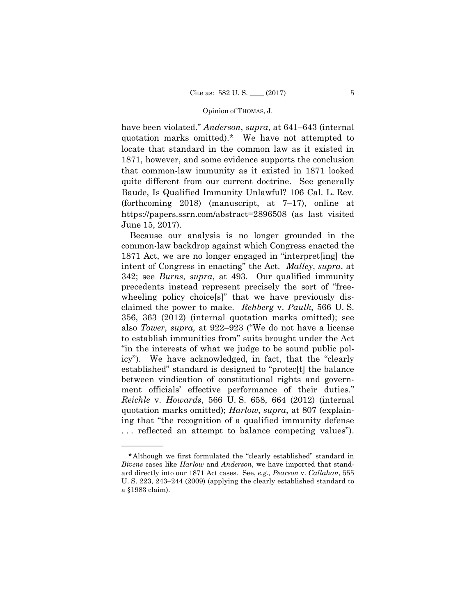have been violated." *Anderson*, *supra*, at 641–643 (internal quotation marks omitted).\* We have not attempted to locate that standard in the common law as it existed in 1871, however, and some evidence supports the conclusion that common-law immunity as it existed in 1871 looked quite different from our current doctrine. See generally Baude, Is Qualified Immunity Unlawful? 106 Cal. L. Rev. (forthcoming 2018) (manuscript, at 7–17), online at https://papers.ssrn.com/abstract=2896508 (as last visited June 15, 2017).

... reflected an attempt to balance competing values"). Because our analysis is no longer grounded in the common-law backdrop against which Congress enacted the 1871 Act, we are no longer engaged in "interpret[ing] the intent of Congress in enacting" the Act. *Malley*, *supra*, at 342; see *Burns*, *supra*, at 493. Our qualified immunity precedents instead represent precisely the sort of "freewheeling policy choice[s]" that we have previously disclaimed the power to make. *Rehberg* v. *Paulk*, 566 U. S. 356, 363 (2012) (internal quotation marks omitted); see also *Tower*, *supra,* at 922–923 ("We do not have a license to establish immunities from" suits brought under the Act "in the interests of what we judge to be sound public policy"). We have acknowledged, in fact, that the "clearly established" standard is designed to "protec[t] the balance between vindication of constitutional rights and government officials' effective performance of their duties." *Reichle* v. *Howards*, 566 U. S. 658, 664 (2012) (internal quotation marks omitted); *Harlow*, *supra*, at 807 (explaining that "the recognition of a qualified immunity defense

 U. S. 223, 243–244 (2009) (applying the clearly established standard to \*Although we first formulated the "clearly established" standard in *Bivens* cases like *Harlow* and *Anderson*, we have imported that standard directly into our 1871 Act cases. See, *e.g., Pearson* v. *Callahan*, 555 a §1983 claim).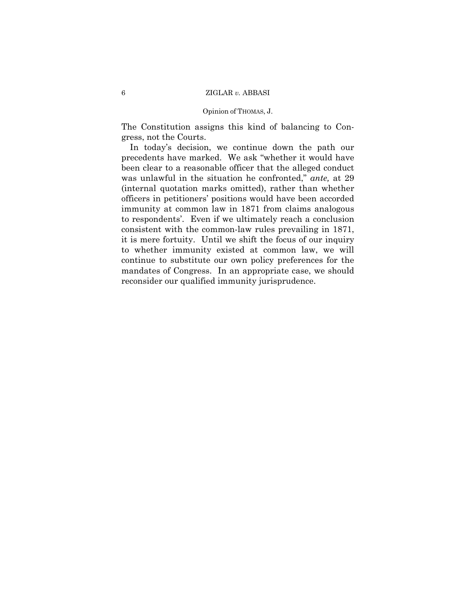#### Opinion of THOMAS, J.

The Constitution assigns this kind of balancing to Congress, not the Courts.

In today's decision, we continue down the path our precedents have marked. We ask "whether it would have been clear to a reasonable officer that the alleged conduct was unlawful in the situation he confronted," *ante,* at 29 (internal quotation marks omitted), rather than whether officers in petitioners' positions would have been accorded immunity at common law in 1871 from claims analogous to respondents'. Even if we ultimately reach a conclusion consistent with the common-law rules prevailing in 1871, it is mere fortuity. Until we shift the focus of our inquiry to whether immunity existed at common law, we will continue to substitute our own policy preferences for the mandates of Congress. In an appropriate case, we should reconsider our qualified immunity jurisprudence.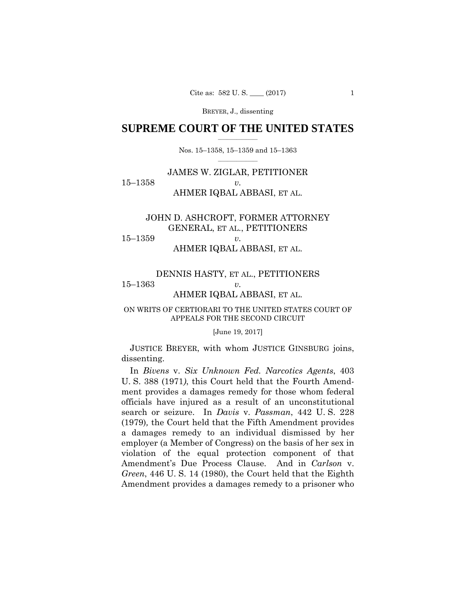# $\frac{1}{2}$  ,  $\frac{1}{2}$  ,  $\frac{1}{2}$  ,  $\frac{1}{2}$  ,  $\frac{1}{2}$  ,  $\frac{1}{2}$  ,  $\frac{1}{2}$ **SUPREME COURT OF THE UNITED STATES**

 $\frac{1}{2}$  ,  $\frac{1}{2}$  ,  $\frac{1}{2}$  ,  $\frac{1}{2}$  ,  $\frac{1}{2}$  ,  $\frac{1}{2}$ Nos. 15–1358, 15–1359 and 15–1363

JAMES W. ZIGLAR, PETITIONER 15–1358 *v.*  AHMER IQBAL ABBASI, ET AL.

# JOHN D. ASHCROFT, FORMER ATTORNEY GENERAL, ET AL., PETITIONERS

15–1359 *v.* 

AHMER IQBAL ABBASI, ET AL.

# DENNIS HASTY, ET AL., PETITIONERS 15–1363 *v.*

# AHMER IQBAL ABBASI, ET AL.

# ON WRITS OF CERTIORARI TO THE UNITED STATES COURT OF APPEALS FOR THE SECOND CIRCUIT

[June 19, 2017]

JUSTICE BREYER, with whom JUSTICE GINSBURG joins, dissenting.

In *Bivens* v. *Six Unknown Fed. Narcotics Agents*, 403 U. S. 388 (1971*)*, this Court held that the Fourth Amendment provides a damages remedy for those whom federal officials have injured as a result of an unconstitutional search or seizure. In *Davis* v. *Passman*, 442 U. S. 228 (1979)*,* the Court held that the Fifth Amendment provides a damages remedy to an individual dismissed by her employer (a Member of Congress) on the basis of her sex in violation of the equal protection component of that Amendment's Due Process Clause. And in *Carlson* v. *Green*, 446 U. S. 14 (1980), the Court held that the Eighth Amendment provides a damages remedy to a prisoner who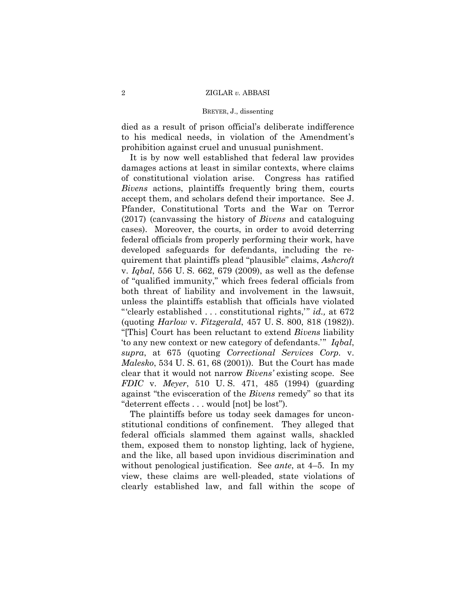died as a result of prison official's deliberate indifference to his medical needs, in violation of the Amendment's prohibition against cruel and unusual punishment.

It is by now well established that federal law provides damages actions at least in similar contexts, where claims of constitutional violation arise. Congress has ratified *Bivens* actions, plaintiffs frequently bring them, courts accept them, and scholars defend their importance. See J. Pfander, Constitutional Torts and the War on Terror (2017) (canvassing the history of *Bivens* and cataloguing cases). Moreover, the courts, in order to avoid deterring federal officials from properly performing their work, have developed safeguards for defendants, including the requirement that plaintiffs plead "plausible" claims, *Ashcroft*  v. *Iqbal*, 556 U. S. 662, 679 (2009), as well as the defense of "qualified immunity," which frees federal officials from both threat of liability and involvement in the lawsuit, unless the plaintiffs establish that officials have violated "'clearly established . . . constitutional rights,'" *id.,* at 672 (quoting *Harlow* v. *Fitzgerald*, 457 U. S. 800, 818 (1982)). "[This] Court has been reluctant to extend *Bivens* liability 'to any new context or new category of defendants.'" *Iqbal*, *supra*, at 675 (quoting *Correctional Services Corp.* v. *Malesko*, 534 U. S. 61, 68 (2001)). But the Court has made clear that it would not narrow *Bivens'* existing scope. See *FDIC* v. *Meyer*, 510 U. S. 471, 485 (1994) (guarding against "the evisceration of the *Bivens* remedy" so that its "deterrent effects . . . would [not] be lost").

The plaintiffs before us today seek damages for unconstitutional conditions of confinement. They alleged that federal officials slammed them against walls, shackled them, exposed them to nonstop lighting, lack of hygiene, and the like, all based upon invidious discrimination and without penological justification. See *ante*, at 4–5. In my view, these claims are well-pleaded, state violations of clearly established law, and fall within the scope of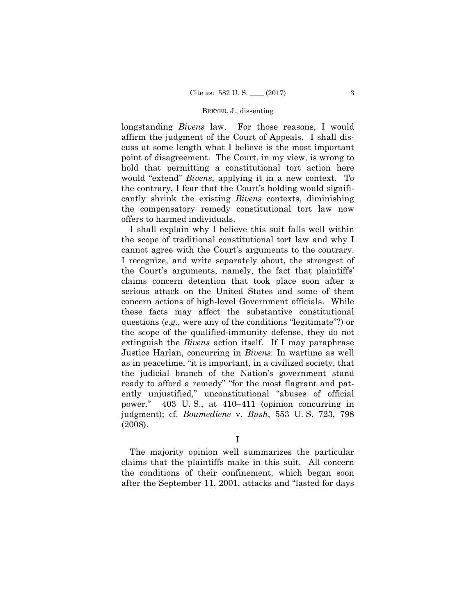longstanding *Bivens* law. For those reasons, I would affirm the judgment of the Court of Appeals. I shall discuss at some length what I believe is the most important point of disagreement. The Court, in my view, is wrong to hold that permitting a constitutional tort action here would "extend" *Bivens*, applying it in a new context. To the contrary, I fear that the Court's holding would significantly shrink the existing *Bivens* contexts, diminishing the compensatory remedy constitutional tort law now offers to harmed individuals.

 these facts may affect the substantive constitutional I shall explain why I believe this suit falls well within the scope of traditional constitutional tort law and why I cannot agree with the Court's arguments to the contrary. I recognize, and write separately about, the strongest of the Court's arguments, namely, the fact that plaintiffs' claims concern detention that took place soon after a serious attack on the United States and some of them concern actions of high-level Government officials. While questions (*e.g.*, were any of the conditions "legitimate"?) or the scope of the qualified-immunity defense, they do not extinguish the *Bivens* action itself. If I may paraphrase Justice Harlan, concurring in *Bivens*: In wartime as well as in peacetime, "it is important, in a civilized society, that the judicial branch of the Nation's government stand ready to afford a remedy" "for the most flagrant and patently unjustified," unconstitutional "abuses of official power." 403 U. S., at 410–411 (opinion concurring in judgment); cf. *Boumediene* v. *Bush*, 553 U. S. 723, 798 (2008).

The majority opinion well summarizes the particular claims that the plaintiffs make in this suit. All concern the conditions of their confinement, which began soon after the September 11, 2001, attacks and "lasted for days

I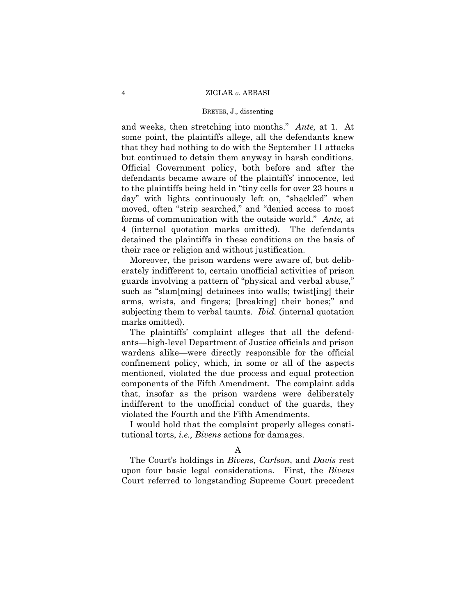and weeks, then stretching into months." *Ante,* at 1. At some point, the plaintiffs allege, all the defendants knew that they had nothing to do with the September 11 attacks but continued to detain them anyway in harsh conditions. Official Government policy, both before and after the defendants became aware of the plaintiffs' innocence, led to the plaintiffs being held in "tiny cells for over 23 hours a day" with lights continuously left on, "shackled" when moved, often "strip searched," and "denied access to most forms of communication with the outside world." *Ante,* at 4 (internal quotation marks omitted). The defendants detained the plaintiffs in these conditions on the basis of their race or religion and without justification.

Moreover, the prison wardens were aware of, but deliberately indifferent to, certain unofficial activities of prison guards involving a pattern of "physical and verbal abuse," such as "slam[ming] detainees into walls; twist[ing] their arms, wrists, and fingers; [breaking] their bones;" and subjecting them to verbal taunts. *Ibid.* (internal quotation marks omitted).

The plaintiffs' complaint alleges that all the defendants—high-level Department of Justice officials and prison wardens alike—were directly responsible for the official confinement policy, which, in some or all of the aspects mentioned, violated the due process and equal protection components of the Fifth Amendment. The complaint adds that, insofar as the prison wardens were deliberately indifferent to the unofficial conduct of the guards, they violated the Fourth and the Fifth Amendments.

I would hold that the complaint properly alleges constitutional torts, *i.e., Bivens* actions for damages.

The Court's holdings in *Bivens*, *Carlson*, and *Davis* rest upon four basic legal considerations. First, the *Bivens*  Court referred to longstanding Supreme Court precedent

A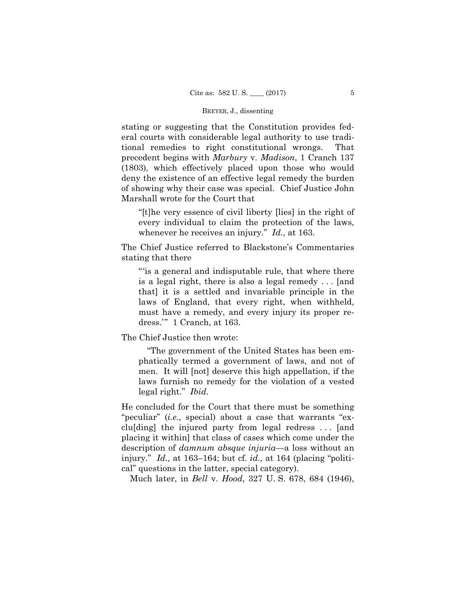stating or suggesting that the Constitution provides federal courts with considerable legal authority to use traditional remedies to right constitutional wrongs. That precedent begins with *Marbury* v. *Madison*, 1 Cranch 137 (1803)*,* which effectively placed upon those who would deny the existence of an effective legal remedy the burden of showing why their case was special. Chief Justice John Marshall wrote for the Court that

"[t]he very essence of civil liberty [lies] in the right of every individual to claim the protection of the laws, whenever he receives an injury." *Id.*, at 163.

The Chief Justice referred to Blackstone's Commentaries stating that there

 is a legal right, there is also a legal remedy . . . [and "'is a general and indisputable rule, that where there that] it is a settled and invariable principle in the laws of England, that every right, when withheld, must have a remedy, and every injury its proper redress.'" 1 Cranch, at 163.

The Chief Justice then wrote:

"The government of the United States has been emphatically termed a government of laws, and not of men. It will [not] deserve this high appellation, if the laws furnish no remedy for the violation of a vested legal right." *Ibid.* 

He concluded for the Court that there must be something "peculiar" (*i.e.,* special) about a case that warrants "exclu[ding] the injured party from legal redress . . . [and placing it within] that class of cases which come under the description of *damnum absque injuria—*a loss without an injury." *Id.,* at 163–164; but cf. *id.,* at 164 (placing "political" questions in the latter, special category).

Much later, in *Bell* v. *Hood*, 327 U. S. 678, 684 (1946),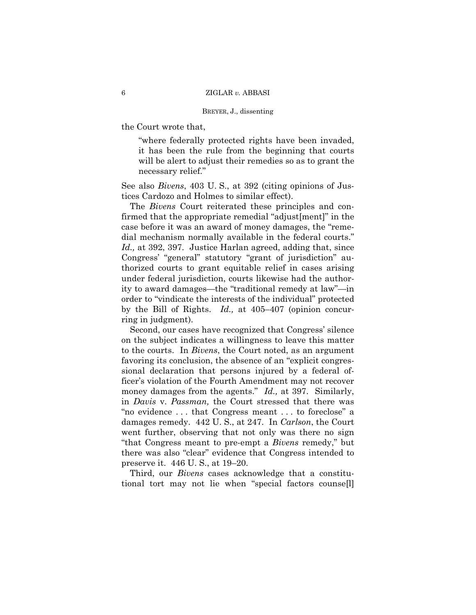the Court wrote that,

"where federally protected rights have been invaded, it has been the rule from the beginning that courts will be alert to adjust their remedies so as to grant the necessary relief."

See also *Bivens*, 403 U. S., at 392 (citing opinions of Justices Cardozo and Holmes to similar effect).

The *Bivens* Court reiterated these principles and confirmed that the appropriate remedial "adjust[ment]" in the case before it was an award of money damages, the "remedial mechanism normally available in the federal courts." *Id.,* at 392, 397. Justice Harlan agreed, adding that, since Congress' "general" statutory "grant of jurisdiction" authorized courts to grant equitable relief in cases arising under federal jurisdiction, courts likewise had the authority to award damages—the "traditional remedy at law"—in order to "vindicate the interests of the individual" protected by the Bill of Rights. *Id.,* at 405–407 (opinion concurring in judgment).

Second, our cases have recognized that Congress' silence on the subject indicates a willingness to leave this matter to the courts. In *Bivens*, the Court noted, as an argument favoring its conclusion, the absence of an "explicit congressional declaration that persons injured by a federal officer's violation of the Fourth Amendment may not recover money damages from the agents." *Id.,* at 397. Similarly, in *Davis* v. *Passman,* the Court stressed that there was "no evidence . . . that Congress meant . . . to foreclose" a damages remedy. 442 U. S., at 247. In *Carlson*, the Court went further, observing that not only was there no sign "that Congress meant to pre-empt a *Bivens* remedy," but there was also "clear" evidence that Congress intended to preserve it. 446 U. S., at 19–20.

 Third, our *Bivens* cases acknowledge that a constitutional tort may not lie when "special factors counse[l]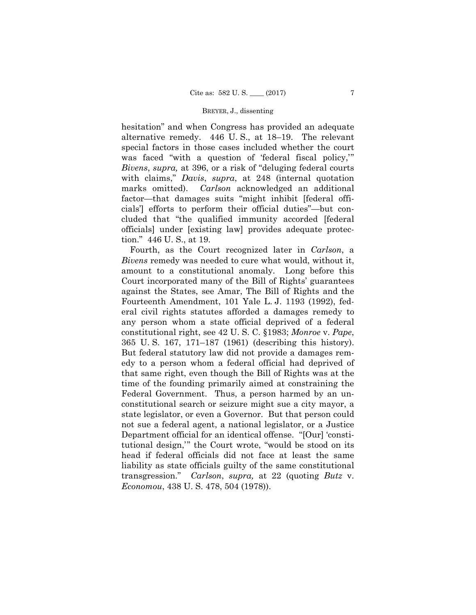hesitation" and when Congress has provided an adequate alternative remedy. 446 U. S., at 18–19. The relevant special factors in those cases included whether the court was faced "with a question of 'federal fiscal policy,'" *Bivens*, *supra,* at 396, or a risk of "deluging federal courts with claims," *Davis*, *supra*, at 248 (internal quotation marks omitted). *Carlson* acknowledged an additional factor—that damages suits "might inhibit [federal officials'] efforts to perform their official duties"—but concluded that "the qualified immunity accorded [federal officials] under [existing law] provides adequate protection." 446 U. S., at 19.

 365 U. S. 167, 171–187 (1961) (describing this history). Fourth, as the Court recognized later in *Carlson*, a *Bivens* remedy was needed to cure what would, without it, amount to a constitutional anomaly. Long before this Court incorporated many of the Bill of Rights' guarantees against the States, see Amar, The Bill of Rights and the Fourteenth Amendment, 101 Yale L. J. 1193 (1992), federal civil rights statutes afforded a damages remedy to any person whom a state official deprived of a federal constitutional right, see 42 U. S. C. §1983; *Monroe* v. *Pape*, But federal statutory law did not provide a damages remedy to a person whom a federal official had deprived of that same right, even though the Bill of Rights was at the time of the founding primarily aimed at constraining the Federal Government. Thus, a person harmed by an unconstitutional search or seizure might sue a city mayor, a state legislator, or even a Governor. But that person could not sue a federal agent, a national legislator, or a Justice Department official for an identical offense. "[Our] 'constitutional design,'" the Court wrote, "would be stood on its head if federal officials did not face at least the same liability as state officials guilty of the same constitutional transgression." *Carlson*, *supra,* at 22 (quoting *Butz* v. *Economou*, 438 U. S. 478, 504 (1978)).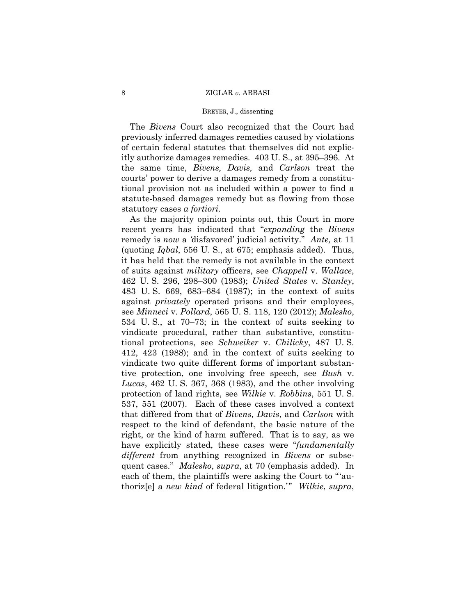#### BREYER, J., dissenting

The *Bivens* Court also recognized that the Court had previously inferred damages remedies caused by violations of certain federal statutes that themselves did not explicitly authorize damages remedies. 403 U. S., at 395–396. At the same time, *Bivens, Davis,* and *Carlson* treat the courts' power to derive a damages remedy from a constitutional provision not as included within a power to find a statute-based damages remedy but as flowing from those statutory cases *a fortiori.* 

 remedy is *now* a *'*disfavored' judicial activity." *Ante,* at 11 As the majority opinion points out, this Court in more recent years has indicated that "*expanding* the *Bivens*  (quoting *Iqbal*, 556 U. S., at 675; emphasis added). Thus, it has held that the remedy is not available in the context of suits against *military* officers, see *Chappell* v. *Wallace*, 462 U. S. 296, 298–300 (1983); *United States* v. *Stanley*, 483 U. S. 669, 683–684 (1987); in the context of suits against *privately* operated prisons and their employees, see *Minneci* v. *Pollard*, 565 U. S. 118, 120 (2012); *Malesko*, 534 U. S., at 70–73; in the context of suits seeking to vindicate procedural, rather than substantive, constitutional protections, see *Schweiker* v. *Chilicky*, 487 U. S. 412, 423 (1988); and in the context of suits seeking to vindicate two quite different forms of important substantive protection, one involving free speech, see *Bush* v. *Lucas*, 462 U. S. 367, 368 (1983), and the other involving protection of land rights, see *Wilkie* v. *Robbins*, 551 U. S. 537, 551 (2007). Each of these cases involved a context that differed from that of *Bivens, Davis*, and *Carlson* with respect to the kind of defendant, the basic nature of the right, or the kind of harm suffered. That is to say, as we have explicitly stated, these cases were "*fundamentally different* from anything recognized in *Bivens* or subsequent cases." *Malesko*, *supra*, at 70 (emphasis added). In each of them, the plaintiffs were asking the Court to "'authoriz[e] a *new kind* of federal litigation.'" *Wilkie*, *supra*,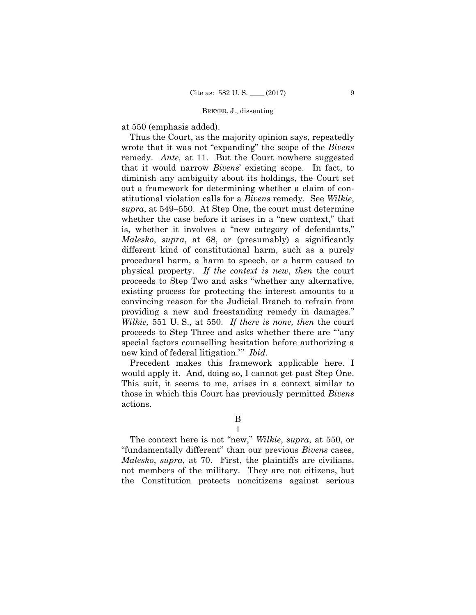at 550 (emphasis added).

Thus the Court, as the majority opinion says, repeatedly wrote that it was not "expanding" the scope of the *Bivens*  remedy. *Ante,* at 11. But the Court nowhere suggested that it would narrow *Bivens*' existing scope. In fact, to diminish any ambiguity about its holdings, the Court set out a framework for determining whether a claim of constitutional violation calls for a *Bivens* remedy. See *Wilkie*, *supra*, at 549–550. At Step One, the court must determine whether the case before it arises in a "new context," that is, whether it involves a "new category of defendants," *Malesko*, *supra*, at 68, or (presumably) a significantly different kind of constitutional harm, such as a purely procedural harm, a harm to speech, or a harm caused to physical property. *If the context is new*, *then* the court proceeds to Step Two and asks "whether any alternative, existing process for protecting the interest amounts to a convincing reason for the Judicial Branch to refrain from providing a new and freestanding remedy in damages." *Wilkie,* 551 U. S., at 550. *If there is none, then* the court proceeds to Step Three and asks whether there are "'any special factors counselling hesitation before authorizing a new kind of federal litigation.'" *Ibid*.

 would apply it. And, doing so, I cannot get past Step One. Precedent makes this framework applicable here. I This suit, it seems to me, arises in a context similar to those in which this Court has previously permitted *Bivens*  actions.

B

1

The context here is not "new," *Wilkie*, *supra*, at 550, or "fundamentally different" than our previous *Bivens* cases, *Malesko*, *supra*, at 70. First, the plaintiffs are civilians, not members of the military. They are not citizens, but the Constitution protects noncitizens against serious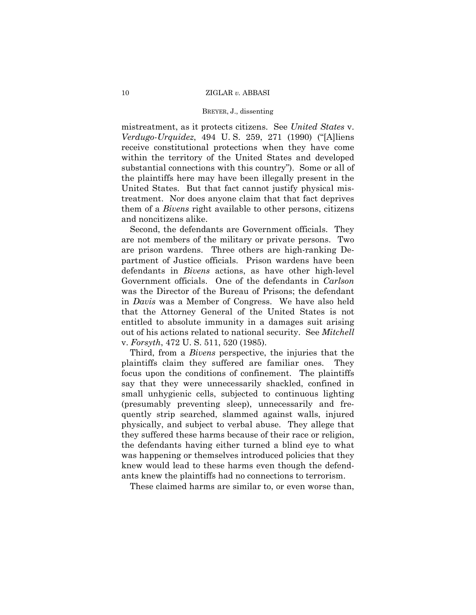mistreatment, as it protects citizens. See *United States* v. *Verdugo-Urquidez*, 494 U. S. 259, 271 (1990) ("[A]liens receive constitutional protections when they have come within the territory of the United States and developed substantial connections with this country"). Some or all of the plaintiffs here may have been illegally present in the United States. But that fact cannot justify physical mistreatment. Nor does anyone claim that that fact deprives them of a *Bivens* right available to other persons, citizens and noncitizens alike.

Second, the defendants are Government officials. They are not members of the military or private persons. Two are prison wardens. Three others are high-ranking Department of Justice officials. Prison wardens have been defendants in *Bivens* actions, as have other high-level Government officials. One of the defendants in *Carlson*  was the Director of the Bureau of Prisons; the defendant in *Davis* was a Member of Congress. We have also held that the Attorney General of the United States is not entitled to absolute immunity in a damages suit arising out of his actions related to national security. See *Mitchell*  v. *Forsyth*, 472 U. S. 511, 520 (1985).

Third, from a *Bivens* perspective, the injuries that the plaintiffs claim they suffered are familiar ones. They focus upon the conditions of confinement. The plaintiffs say that they were unnecessarily shackled, confined in small unhygienic cells, subjected to continuous lighting (presumably preventing sleep), unnecessarily and frequently strip searched, slammed against walls, injured physically, and subject to verbal abuse. They allege that they suffered these harms because of their race or religion, the defendants having either turned a blind eye to what was happening or themselves introduced policies that they knew would lead to these harms even though the defendants knew the plaintiffs had no connections to terrorism.

These claimed harms are similar to, or even worse than,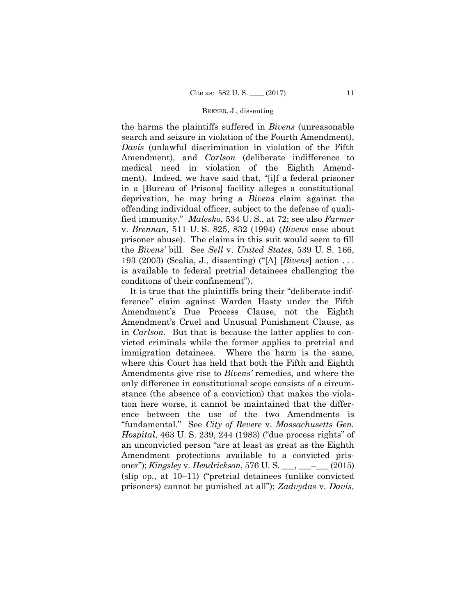the harms the plaintiffs suffered in *Bivens* (unreasonable search and seizure in violation of the Fourth Amendment), *Davis* (unlawful discrimination in violation of the Fifth Amendment), and *Carlson* (deliberate indifference to medical need in violation of the Eighth Amendment). Indeed, we have said that, "[i]f a federal prisoner in a [Bureau of Prisons] facility alleges a constitutional deprivation, he may bring a *Bivens* claim against the offending individual officer, subject to the defense of qualified immunity." *Malesko*, 534 U. S., at 72; see also *Farmer*  v. *Brennan*, 511 U. S. 825, 832 (1994) (*Bivens* case about prisoner abuse). The claims in this suit would seem to fill the *Bivens'* bill. See *Sell* v. *United States*, 539 U. S. 166, 193 (2003) (Scalia, J., dissenting) ("[A] [*Bivens*] action . . . is available to federal pretrial detainees challenging the conditions of their confinement").

 oner"); *Kingsley* v. *Hendrickson*, 576 U. S. \_\_\_, \_\_\_–\_\_\_ (2015) It is true that the plaintiffs bring their "deliberate indifference" claim against Warden Hasty under the Fifth Amendment's Due Process Clause, not the Eighth Amendment's Cruel and Unusual Punishment Clause, as in *Carlson*. But that is because the latter applies to convicted criminals while the former applies to pretrial and immigration detainees. Where the harm is the same, where this Court has held that both the Fifth and Eighth Amendments give rise to *Bivens'* remedies, and where the only difference in constitutional scope consists of a circumstance (the absence of a conviction) that makes the violation here worse, it cannot be maintained that the difference between the use of the two Amendments is "fundamental." See *City of Revere* v. *Massachusetts Gen. Hospital*, 463 U. S. 239, 244 (1983) ("due process rights" of an unconvicted person "are at least as great as the Eighth Amendment protections available to a convicted pris-(slip op., at 10–11) ("pretrial detainees (unlike convicted prisoners) cannot be punished at all"); *Zadvydas* v. *Davis*,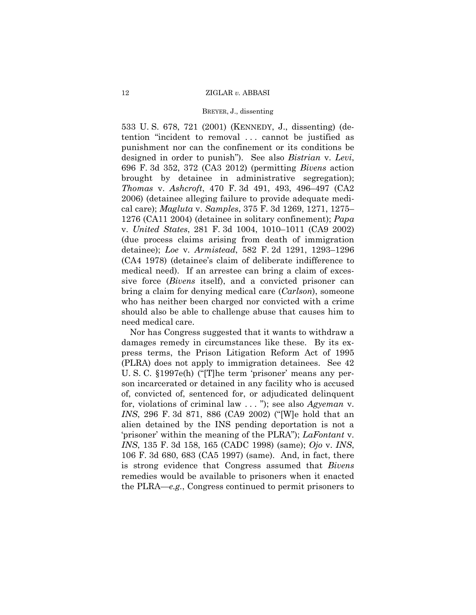533 U. S. 678, 721 (2001) (KENNEDY, J., dissenting) (detention "incident to removal . . . cannot be justified as punishment nor can the confinement or its conditions be designed in order to punish"). See also *Bistrian* v. *Levi*, 696 F. 3d 352, 372 (CA3 2012) (permitting *Bivens* action brought by detainee in administrative segregation); *Thomas* v. *Ashcroft*, 470 F. 3d 491, 493, 496–497 (CA2 2006) (detainee alleging failure to provide adequate medical care); *Magluta* v. *Samples*, 375 F. 3d 1269, 1271, 1275– 1276 (CA11 2004) (detainee in solitary confinement); *Papa*  v. *United States*, 281 F. 3d 1004, 1010–1011 (CA9 2002) (due process claims arising from death of immigration detainee); *Loe* v. *Armistead*, 582 F. 2d 1291, 1293–1296 (CA4 1978) (detainee's claim of deliberate indifference to medical need). If an arrestee can bring a claim of excessive force (*Bivens* itself), and a convicted prisoner can bring a claim for denying medical care (*Carlson*), someone who has neither been charged nor convicted with a crime should also be able to challenge abuse that causes him to need medical care.

Nor has Congress suggested that it wants to withdraw a damages remedy in circumstances like these. By its express terms, the Prison Litigation Reform Act of 1995 (PLRA) does not apply to immigration detainees. See 42 U. S. C. §1997e(h) ("[T]he term 'prisoner' means any person incarcerated or detained in any facility who is accused of, convicted of, sentenced for, or adjudicated delinquent for, violations of criminal law . . . "); see also *Agyeman* v. *INS*, 296 F. 3d 871, 886 (CA9 2002) ("[W]e hold that an alien detained by the INS pending deportation is not a 'prisoner' within the meaning of the PLRA"); *LaFontant* v. *INS*, 135 F. 3d 158, 165 (CADC 1998) (same); *Ojo* v. *INS*, 106 F. 3d 680, 683 (CA5 1997) (same). And, in fact, there is strong evidence that Congress assumed that *Bivens*  remedies would be available to prisoners when it enacted the PLRA—*e.g.*, Congress continued to permit prisoners to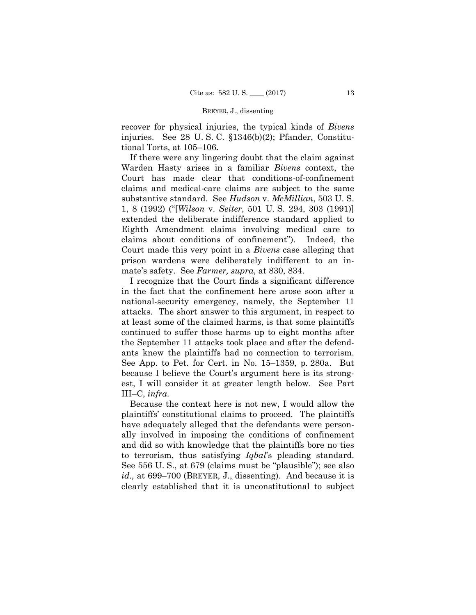recover for physical injuries, the typical kinds of *Bivens*  injuries. See 28 U. S. C. §1346(b)(2); Pfander, Constitutional Torts, at 105–106.

If there were any lingering doubt that the claim against Warden Hasty arises in a familiar *Bivens* context, the Court has made clear that conditions-of-confinement claims and medical-care claims are subject to the same substantive standard. See *Hudson* v. *McMillian*, 503 U. S. 1, 8 (1992) ("[*Wilson* v. *Seiter*, 501 U. S. 294, 303 (1991)] extended the deliberate indifference standard applied to Eighth Amendment claims involving medical care to claims about conditions of confinement"). Indeed, the Court made this very point in a *Bivens* case alleging that prison wardens were deliberately indifferent to an inmate's safety. See *Farmer, supra*, at 830, 834.

I recognize that the Court finds a significant difference in the fact that the confinement here arose soon after a national-security emergency, namely, the September 11 attacks. The short answer to this argument, in respect to at least some of the claimed harms, is that some plaintiffs continued to suffer those harms up to eight months after the September 11 attacks took place and after the defendants knew the plaintiffs had no connection to terrorism. See App. to Pet. for Cert. in No. 15–1359, p. 280a. But because I believe the Court's argument here is its strongest, I will consider it at greater length below. See Part III–C, *infra.* 

Because the context here is not new, I would allow the plaintiffs' constitutional claims to proceed. The plaintiffs have adequately alleged that the defendants were personally involved in imposing the conditions of confinement and did so with knowledge that the plaintiffs bore no ties to terrorism, thus satisfying *Iqbal*'s pleading standard. See 556 U. S., at 679 (claims must be "plausible"); see also *id.,* at 699–700 (BREYER, J., dissenting). And because it is clearly established that it is unconstitutional to subject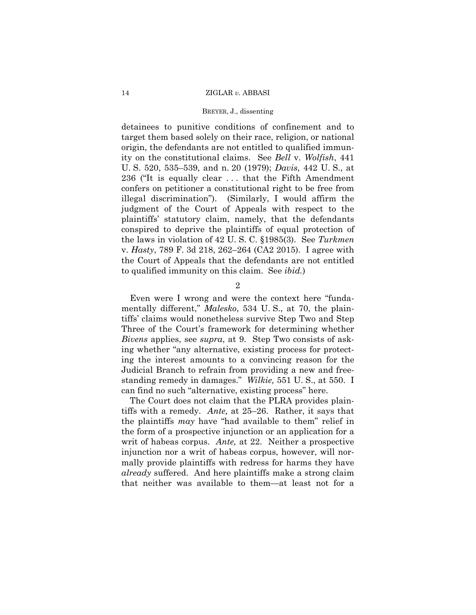detainees to punitive conditions of confinement and to target them based solely on their race, religion, or national origin, the defendants are not entitled to qualified immunity on the constitutional claims. See *Bell* v. *Wolfish*, 441 U. S. 520, 535–539, and n. 20 (1979); *Davis*, 442 U. S., at 236 ("It is equally clear ... that the Fifth Amendment" confers on petitioner a constitutional right to be free from illegal discrimination"). (Similarly, I would affirm the judgment of the Court of Appeals with respect to the plaintiffs' statutory claim, namely, that the defendants conspired to deprive the plaintiffs of equal protection of the laws in violation of 42 U. S. C. §1985(3). See *Turkmen*  v. *Hasty*, 789 F. 3d 218, 262–264 (CA2 2015). I agree with the Court of Appeals that the defendants are not entitled to qualified immunity on this claim. See *ibid.*)

2

 standing remedy in damages." *Wilkie,* 551 U. S., at 550. I Even were I wrong and were the context here "fundamentally different," *Malesko*, 534 U. S., at 70, the plaintiffs' claims would nonetheless survive Step Two and Step Three of the Court's framework for determining whether *Bivens* applies, see *supra*, at 9. Step Two consists of asking whether "any alternative, existing process for protecting the interest amounts to a convincing reason for the Judicial Branch to refrain from providing a new and freecan find no such "alternative, existing process" here.

The Court does not claim that the PLRA provides plaintiffs with a remedy. *Ante,* at 25–26. Rather, it says that the plaintiffs *may* have "had available to them" relief in the form of a prospective injunction or an application for a writ of habeas corpus. *Ante,* at 22. Neither a prospective injunction nor a writ of habeas corpus, however, will normally provide plaintiffs with redress for harms they have *already* suffered. And here plaintiffs make a strong claim that neither was available to them—at least not for a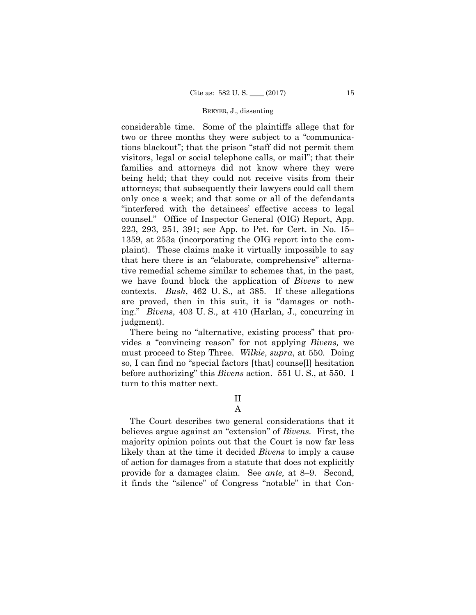contexts. *Bush*, 462 U. S., at 385. If these allegations considerable time. Some of the plaintiffs allege that for two or three months they were subject to a "communications blackout"; that the prison "staff did not permit them visitors, legal or social telephone calls, or mail"; that their families and attorneys did not know where they were being held; that they could not receive visits from their attorneys; that subsequently their lawyers could call them only once a week; and that some or all of the defendants "interfered with the detainees' effective access to legal counsel." Office of Inspector General (OIG) Report, App. 223, 293, 251, 391; see App. to Pet. for Cert. in No. 15– 1359, at 253a (incorporating the OIG report into the complaint). These claims make it virtually impossible to say that here there is an "elaborate, comprehensive" alternative remedial scheme similar to schemes that, in the past, we have found block the application of *Bivens* to new are proved, then in this suit, it is "damages or nothing." *Bivens*, 403 U. S., at 410 (Harlan, J., concurring in judgment).

There being no "alternative, existing process" that provides a "convincing reason" for not applying *Bivens,* we must proceed to Step Three. *Wilkie*, *supra*, at 550*.* Doing so, I can find no "special factors [that] counse[l] hesitation before authorizing" this *Bivens* action. 551 U. S., at 550. I turn to this matter next.

II

A

The Court describes two general considerations that it believes argue against an "extension" of *Bivens.* First, the majority opinion points out that the Court is now far less likely than at the time it decided *Bivens* to imply a cause of action for damages from a statute that does not explicitly provide for a damages claim. See *ante,* at 8–9. Second, it finds the "silence" of Congress "notable" in that Con-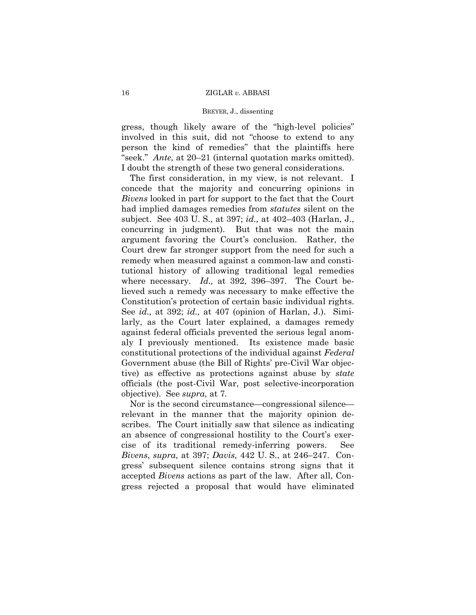gress, though likely aware of the "high-level policies" involved in this suit, did not "choose to extend to any person the kind of remedies" that the plaintiffs here "seek." *Ante,* at 20–21 (internal quotation marks omitted). I doubt the strength of these two general considerations.

The first consideration, in my view, is not relevant. I concede that the majority and concurring opinions in *Bivens* looked in part for support to the fact that the Court had implied damages remedies from *statutes* silent on the subject. See 403 U. S., at 397; *id.,* at 402–403 (Harlan, J., concurring in judgment). But that was not the main argument favoring the Court's conclusion. Rather, the Court drew far stronger support from the need for such a remedy when measured against a common-law and constitutional history of allowing traditional legal remedies where necessary. *Id.,* at 392, 396–397. The Court believed such a remedy was necessary to make effective the Constitution's protection of certain basic individual rights. See *id.,* at 392; *id.,* at 407 (opinion of Harlan, J.). Similarly, as the Court later explained, a damages remedy against federal officials prevented the serious legal anomaly I previously mentioned. Its existence made basic constitutional protections of the individual against *Federal*  Government abuse (the Bill of Rights' pre-Civil War objective) as effective as protections against abuse by *state*  officials (the post-Civil War, post selective-incorporation objective). See *supra,* at 7*.* 

Nor is the second circumstance—congressional silence relevant in the manner that the majority opinion describes. The Court initially saw that silence as indicating an absence of congressional hostility to the Court's exercise of its traditional remedy-inferring powers. See *Bivens*, *supra,* at 397; *Davis,* 442 U. S., at 246–247. Congress' subsequent silence contains strong signs that it accepted *Bivens* actions as part of the law. After all, Congress rejected a proposal that would have eliminated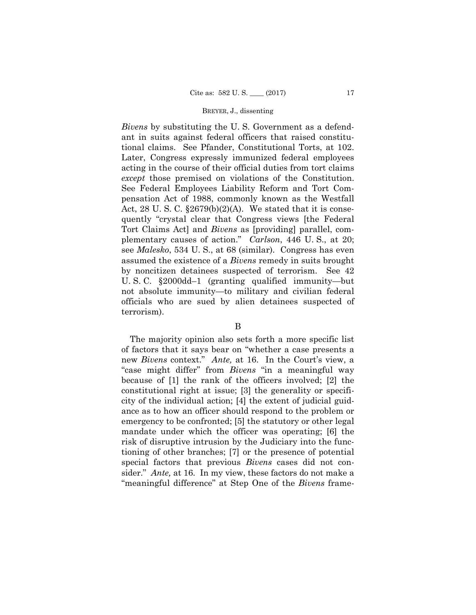*except* those premised on violations of the Constitution. U. S. C. §2000dd–1 (granting qualified immunity—but *Bivens* by substituting the U. S. Government as a defendant in suits against federal officers that raised constitutional claims. See Pfander, Constitutional Torts, at 102. Later, Congress expressly immunized federal employees acting in the course of their official duties from tort claims See Federal Employees Liability Reform and Tort Compensation Act of 1988, commonly known as the Westfall Act, 28 U.S.C.  $$2679(b)(2)(A)$ . We stated that it is consequently "crystal clear that Congress views [the Federal Tort Claims Act] and *Bivens* as [providing] parallel, complementary causes of action." *Carlson*, 446 U. S., at 20; see *Malesko*, 534 U. S., at 68 (similar). Congress has even assumed the existence of a *Bivens* remedy in suits brought by noncitizen detainees suspected of terrorism. See 42 not absolute immunity—to military and civilian federal officials who are sued by alien detainees suspected of terrorism).

# B

 sider." *Ante,* at 16. In my view, these factors do not make a The majority opinion also sets forth a more specific list of factors that it says bear on "whether a case presents a new *Bivens* context." *Ante,* at 16. In the Court's view, a "case might differ" from *Bivens* "in a meaningful way because of [1] the rank of the officers involved; [2] the constitutional right at issue; [3] the generality or specificity of the individual action; [4] the extent of judicial guidance as to how an officer should respond to the problem or emergency to be confronted; [5] the statutory or other legal mandate under which the officer was operating; [6] the risk of disruptive intrusion by the Judiciary into the functioning of other branches; [7] or the presence of potential special factors that previous *Bivens* cases did not con-"meaningful difference" at Step One of the *Bivens* frame-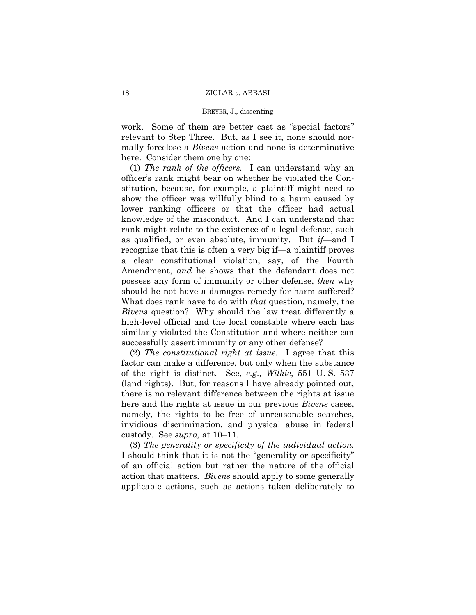work. Some of them are better cast as "special factors" relevant to Step Three. But, as I see it, none should normally foreclose a *Bivens* action and none is determinative here. Consider them one by one:

(1) *The rank of the officers.* I can understand why an officer's rank might bear on whether he violated the Constitution, because, for example, a plaintiff might need to show the officer was willfully blind to a harm caused by lower ranking officers or that the officer had actual knowledge of the misconduct. And I can understand that rank might relate to the existence of a legal defense, such as qualified, or even absolute, immunity. But *if*—and I recognize that this is often a very big if—a plaintiff proves a clear constitutional violation, say, of the Fourth Amendment, *and* he shows that the defendant does not possess any form of immunity or other defense, *then* why should he not have a damages remedy for harm suffered? What does rank have to do with *that* question*,* namely, the *Bivens* question? Why should the law treat differently a high-level official and the local constable where each has similarly violated the Constitution and where neither can successfully assert immunity or any other defense?

(2) *The constitutional right at issue.* I agree that this factor can make a difference, but only when the substance of the right is distinct. See, *e.g., Wilkie*, 551 U. S. 537 (land rights). But, for reasons I have already pointed out, there is no relevant difference between the rights at issue here and the rights at issue in our previous *Bivens* cases, namely, the rights to be free of unreasonable searches, invidious discrimination, and physical abuse in federal custody. See *supra,* at 10–11.

(3) *The generality or specificity of the individual action.* I should think that it is not the "generality or specificity" of an official action but rather the nature of the official action that matters. *Bivens* should apply to some generally applicable actions, such as actions taken deliberately to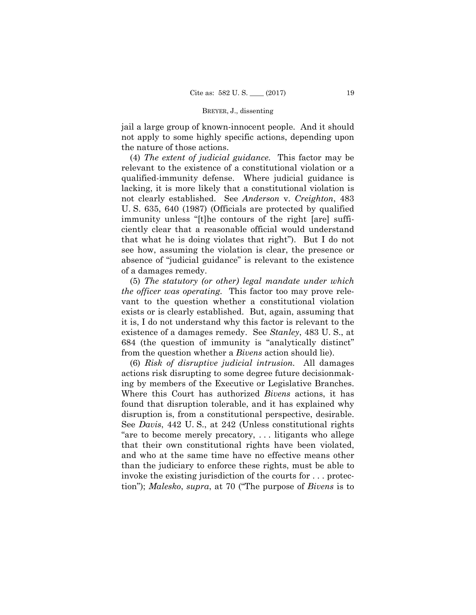jail a large group of known-innocent people. And it should not apply to some highly specific actions, depending upon the nature of those actions.

 (4) *The extent of judicial guidance.* This factor may be relevant to the existence of a constitutional violation or a qualified-immunity defense. Where judicial guidance is lacking, it is more likely that a constitutional violation is not clearly established. See *Anderson* v. *Creighton*, 483 U. S. 635, 640 (1987) (Officials are protected by qualified immunity unless "[t]he contours of the right [are] sufficiently clear that a reasonable official would understand that what he is doing violates that right"). But I do not see how, assuming the violation is clear, the presence or absence of "judicial guidance" is relevant to the existence of a damages remedy.

(5) *The statutory (or other) legal mandate under which the officer was operating.* This factor too may prove relevant to the question whether a constitutional violation exists or is clearly established. But, again, assuming that it is, I do not understand why this factor is relevant to the existence of a damages remedy. See *Stanley*, 483 U. S., at 684 (the question of immunity is "analytically distinct" from the question whether a *Bivens* action should lie).

(6) *Risk of disruptive judicial intrusion.* All damages actions risk disrupting to some degree future decisionmaking by members of the Executive or Legislative Branches. Where this Court has authorized *Bivens* actions, it has found that disruption tolerable, and it has explained why disruption is, from a constitutional perspective, desirable. See *Davis*, 442 U. S., at 242 (Unless constitutional rights "are to become merely precatory, . . . litigants who allege that their own constitutional rights have been violated, and who at the same time have no effective means other than the judiciary to enforce these rights, must be able to invoke the existing jurisdiction of the courts for . . . protection"); *Malesko*, *supra*, at 70 ("The purpose of *Bivens* is to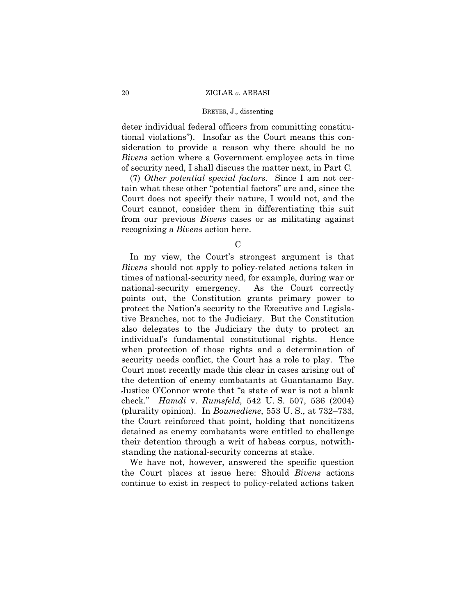deter individual federal officers from committing constitutional violations"). Insofar as the Court means this consideration to provide a reason why there should be no *Bivens* action where a Government employee acts in time of security need, I shall discuss the matter next, in Part C*.* 

 (7) *Other potential special factors.* Since I am not certain what these other "potential factors" are and, since the Court does not specify their nature, I would not, and the Court cannot, consider them in differentiating this suit from our previous *Bivens* cases or as militating against recognizing a *Bivens* action here.

 check." *Hamdi* v. *Rumsfeld*, 542 U. S. 507, 536 (2004) In my view, the Court's strongest argument is that *Bivens* should not apply to policy-related actions taken in times of national-security need, for example, during war or national-security emergency. As the Court correctly points out, the Constitution grants primary power to protect the Nation's security to the Executive and Legislative Branches, not to the Judiciary. But the Constitution also delegates to the Judiciary the duty to protect an individual's fundamental constitutional rights. Hence when protection of those rights and a determination of security needs conflict, the Court has a role to play. The Court most recently made this clear in cases arising out of the detention of enemy combatants at Guantanamo Bay. Justice O'Connor wrote that "a state of war is not a blank (plurality opinion). In *Boumediene*, 553 U. S., at 732–733, the Court reinforced that point, holding that noncitizens detained as enemy combatants were entitled to challenge their detention through a writ of habeas corpus, notwithstanding the national-security concerns at stake.

We have not, however, answered the specific question the Court places at issue here: Should *Bivens* actions continue to exist in respect to policy-related actions taken

C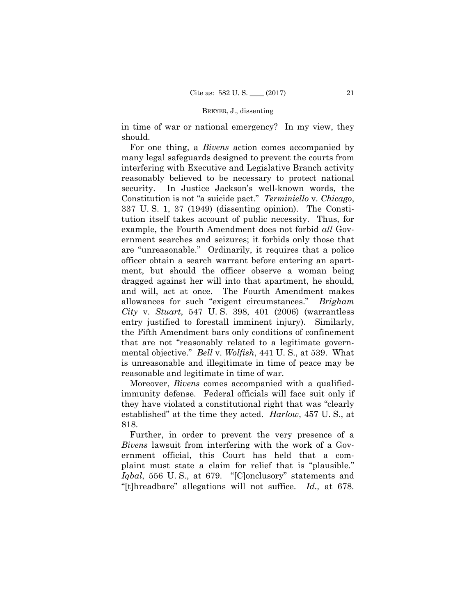in time of war or national emergency? In my view, they should.

 Constitution is not "a suicide pact." *Terminiello* v. *Chicago*, For one thing, a *Bivens* action comes accompanied by many legal safeguards designed to prevent the courts from interfering with Executive and Legislative Branch activity reasonably believed to be necessary to protect national security. In Justice Jackson's well-known words, the 337 U. S. 1, 37 (1949) (dissenting opinion). The Constitution itself takes account of public necessity. Thus, for example, the Fourth Amendment does not forbid *all* Government searches and seizures; it forbids only those that are "unreasonable." Ordinarily, it requires that a police officer obtain a search warrant before entering an apartment, but should the officer observe a woman being dragged against her will into that apartment, he should, and will, act at once. The Fourth Amendment makes allowances for such "exigent circumstances." *Brigham City* v. *Stuart*, 547 U. S. 398, 401 (2006) (warrantless entry justified to forestall imminent injury). Similarly, the Fifth Amendment bars only conditions of confinement that are not "reasonably related to a legitimate governmental objective." *Bell* v. *Wolfish*, 441 U. S., at 539. What is unreasonable and illegitimate in time of peace may be reasonable and legitimate in time of war.

Moreover, *Bivens* comes accompanied with a qualifiedimmunity defense. Federal officials will face suit only if they have violated a constitutional right that was "clearly established" at the time they acted. *Harlow*, 457 U. S., at 818.

Further, in order to prevent the very presence of a *Bivens* lawsuit from interfering with the work of a Government official, this Court has held that a complaint must state a claim for relief that is "plausible." *Iqbal*, 556 U. S., at 679. "[C]onclusory" statements and "[t]hreadbare" allegations will not suffice. *Id.,* at 678.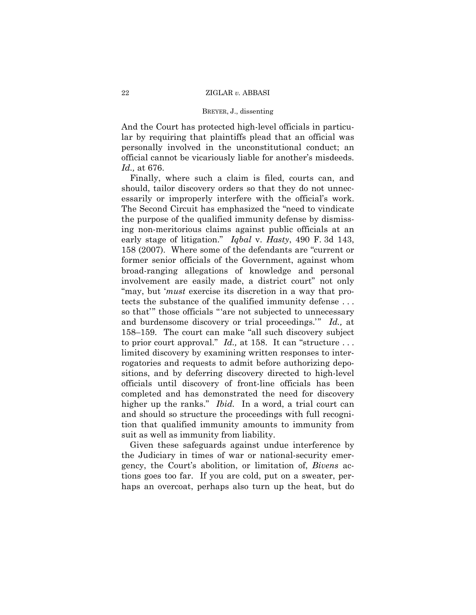And the Court has protected high-level officials in particular by requiring that plaintiffs plead that an official was personally involved in the unconstitutional conduct; an official cannot be vicariously liable for another's misdeeds. *Id.,* at 676.

 to prior court approval." *Id.,* at 158. It can "structure . . . Finally, where such a claim is filed, courts can, and should, tailor discovery orders so that they do not unnecessarily or improperly interfere with the official's work. The Second Circuit has emphasized the "need to vindicate the purpose of the qualified immunity defense by dismissing non-meritorious claims against public officials at an early stage of litigation." *Iqbal* v. *Hasty*, 490 F. 3d 143, 158 (2007). Where some of the defendants are "current or former senior officials of the Government, against whom broad-ranging allegations of knowledge and personal involvement are easily made, a district court" not only "may, but '*must* exercise its discretion in a way that protects the substance of the qualified immunity defense . . . so that'" those officials "'are not subjected to unnecessary and burdensome discovery or trial proceedings.'" *Id.,* at 158–159. The court can make "all such discovery subject limited discovery by examining written responses to interrogatories and requests to admit before authorizing depositions, and by deferring discovery directed to high-level officials until discovery of front-line officials has been completed and has demonstrated the need for discovery higher up the ranks." *Ibid*. In a word, a trial court can and should so structure the proceedings with full recognition that qualified immunity amounts to immunity from suit as well as immunity from liability.

Given these safeguards against undue interference by the Judiciary in times of war or national-security emergency, the Court's abolition, or limitation of, *Bivens* actions goes too far. If you are cold, put on a sweater, perhaps an overcoat, perhaps also turn up the heat, but do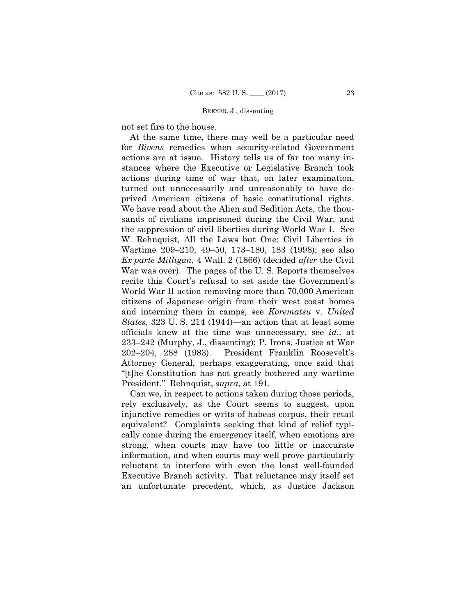not set fire to the house.

 prived American citizens of basic constitutional rights. At the same time, there may well be a particular need for *Bivens* remedies when security-related Government actions are at issue. History tells us of far too many instances where the Executive or Legislative Branch took actions during time of war that, on later examination, turned out unnecessarily and unreasonably to have de-We have read about the Alien and Sedition Acts, the thousands of civilians imprisoned during the Civil War, and the suppression of civil liberties during World War I. See W. Rehnquist, All the Laws but One: Civil Liberties in Wartime 209–210, 49–50, 173–180, 183 (1998); see also *Ex parte Milligan*, 4 Wall. 2 (1866) (decided *after* the Civil War was over). The pages of the U. S. Reports themselves recite this Court's refusal to set aside the Government's World War II action removing more than 70,000 American citizens of Japanese origin from their west coast homes and interning them in camps, see *Korematsu* v. *United States*, 323 U. S. 214 (1944)—an action that at least some officials knew at the time was unnecessary, see *id.,* at 233–242 (Murphy, J., dissenting); P. Irons, Justice at War 202–204, 288 (1983). President Franklin Roosevelt's Attorney General, perhaps exaggerating, once said that "[t]he Constitution has not greatly bothered any wartime President." Rehnquist, *supra*, at 191.

Can we, in respect to actions taken during those periods, rely exclusively, as the Court seems to suggest, upon injunctive remedies or writs of habeas corpus, their retail equivalent? Complaints seeking that kind of relief typically come during the emergency itself, when emotions are strong, when courts may have too little or inaccurate information, and when courts may well prove particularly reluctant to interfere with even the least well-founded Executive Branch activity. That reluctance may itself set an unfortunate precedent, which, as Justice Jackson